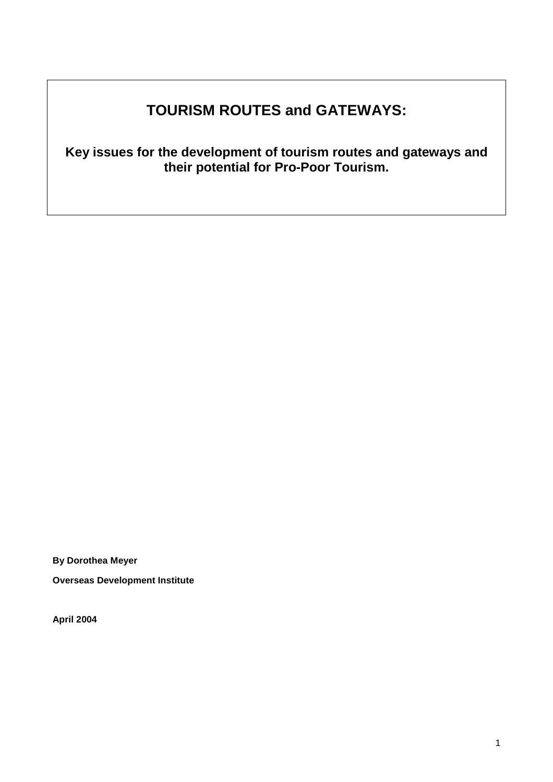# **TOURISM ROUTES and GATEWAYS:**

**Key issues for the development of tourism routes and gateways and their potential for Pro-Poor Tourism.** 

**By Dorothea Meyer** 

**Overseas Development Institute** 

**April 2004**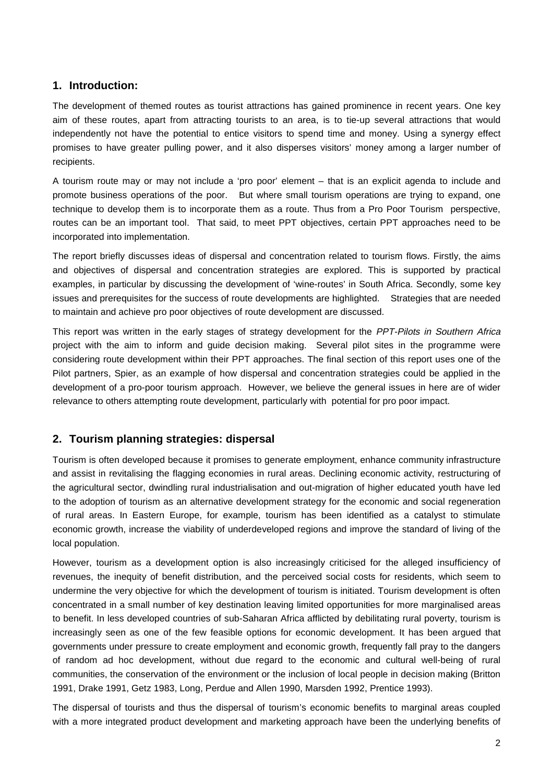# **1. Introduction:**

The development of themed routes as tourist attractions has gained prominence in recent years. One key aim of these routes, apart from attracting tourists to an area, is to tie-up several attractions that would independently not have the potential to entice visitors to spend time and money. Using a synergy effect promises to have greater pulling power, and it also disperses visitors' money among a larger number of recipients.

A tourism route may or may not include a 'pro poor' element – that is an explicit agenda to include and promote business operations of the poor. But where small tourism operations are trying to expand, one technique to develop them is to incorporate them as a route. Thus from a Pro Poor Tourism perspective, routes can be an important tool. That said, to meet PPT objectives, certain PPT approaches need to be incorporated into implementation.

The report briefly discusses ideas of dispersal and concentration related to tourism flows. Firstly, the aims and objectives of dispersal and concentration strategies are explored. This is supported by practical examples, in particular by discussing the development of 'wine-routes' in South Africa. Secondly, some key issues and prerequisites for the success of route developments are highlighted. Strategies that are needed to maintain and achieve pro poor objectives of route development are discussed.

This report was written in the early stages of strategy development for the PPT-Pilots in Southern Africa project with the aim to inform and guide decision making. Several pilot sites in the programme were considering route development within their PPT approaches. The final section of this report uses one of the Pilot partners, Spier, as an example of how dispersal and concentration strategies could be applied in the development of a pro-poor tourism approach. However, we believe the general issues in here are of wider relevance to others attempting route development, particularly with potential for pro poor impact.

# **2. Tourism planning strategies: dispersal**

Tourism is often developed because it promises to generate employment, enhance community infrastructure and assist in revitalising the flagging economies in rural areas. Declining economic activity, restructuring of the agricultural sector, dwindling rural industrialisation and out-migration of higher educated youth have led to the adoption of tourism as an alternative development strategy for the economic and social regeneration of rural areas. In Eastern Europe, for example, tourism has been identified as a catalyst to stimulate economic growth, increase the viability of underdeveloped regions and improve the standard of living of the local population.

However, tourism as a development option is also increasingly criticised for the alleged insufficiency of revenues, the inequity of benefit distribution, and the perceived social costs for residents, which seem to undermine the very objective for which the development of tourism is initiated. Tourism development is often concentrated in a small number of key destination leaving limited opportunities for more marginalised areas to benefit. In less developed countries of sub-Saharan Africa afflicted by debilitating rural poverty, tourism is increasingly seen as one of the few feasible options for economic development. It has been argued that governments under pressure to create employment and economic growth, frequently fall pray to the dangers of random ad hoc development, without due regard to the economic and cultural well-being of rural communities, the conservation of the environment or the inclusion of local people in decision making (Britton 1991, Drake 1991, Getz 1983, Long, Perdue and Allen 1990, Marsden 1992, Prentice 1993).

The dispersal of tourists and thus the dispersal of tourism's economic benefits to marginal areas coupled with a more integrated product development and marketing approach have been the underlying benefits of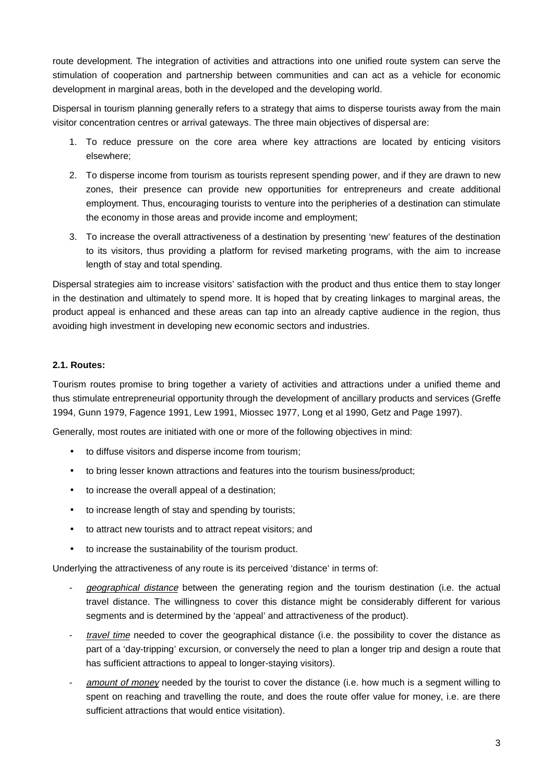route development. The integration of activities and attractions into one unified route system can serve the stimulation of cooperation and partnership between communities and can act as a vehicle for economic development in marginal areas, both in the developed and the developing world.

Dispersal in tourism planning generally refers to a strategy that aims to disperse tourists away from the main visitor concentration centres or arrival gateways. The three main objectives of dispersal are:

- 1. To reduce pressure on the core area where key attractions are located by enticing visitors elsewhere;
- 2. To disperse income from tourism as tourists represent spending power, and if they are drawn to new zones, their presence can provide new opportunities for entrepreneurs and create additional employment. Thus, encouraging tourists to venture into the peripheries of a destination can stimulate the economy in those areas and provide income and employment;
- 3. To increase the overall attractiveness of a destination by presenting 'new' features of the destination to its visitors, thus providing a platform for revised marketing programs, with the aim to increase length of stay and total spending.

Dispersal strategies aim to increase visitors' satisfaction with the product and thus entice them to stay longer in the destination and ultimately to spend more. It is hoped that by creating linkages to marginal areas, the product appeal is enhanced and these areas can tap into an already captive audience in the region, thus avoiding high investment in developing new economic sectors and industries.

# **2.1. Routes:**

Tourism routes promise to bring together a variety of activities and attractions under a unified theme and thus stimulate entrepreneurial opportunity through the development of ancillary products and services (Greffe 1994, Gunn 1979, Fagence 1991, Lew 1991, Miossec 1977, Long et al 1990, Getz and Page 1997).

Generally, most routes are initiated with one or more of the following objectives in mind:

- to diffuse visitors and disperse income from tourism;
- to bring lesser known attractions and features into the tourism business/product;
- to increase the overall appeal of a destination;
- to increase length of stay and spending by tourists;
- to attract new tourists and to attract repeat visitors; and
- to increase the sustainability of the tourism product.

Underlying the attractiveness of any route is its perceived 'distance' in terms of:

- geographical distance between the generating region and the tourism destination (i.e. the actual travel distance. The willingness to cover this distance might be considerably different for various segments and is determined by the 'appeal' and attractiveness of the product).
- travel time needed to cover the geographical distance (i.e. the possibility to cover the distance as part of a 'day-tripping' excursion, or conversely the need to plan a longer trip and design a route that has sufficient attractions to appeal to longer-staying visitors).
- amount of money needed by the tourist to cover the distance (i.e. how much is a segment willing to spent on reaching and travelling the route, and does the route offer value for money, i.e. are there sufficient attractions that would entice visitation).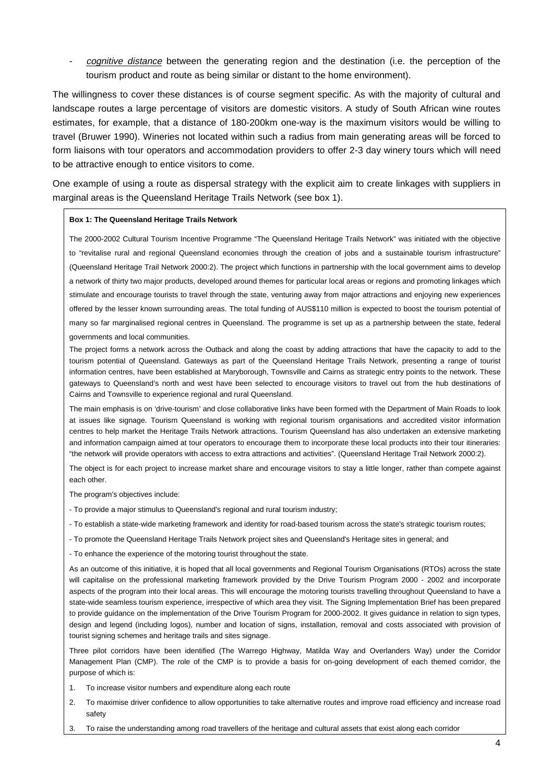cognitive distance between the generating region and the destination (i.e. the perception of the tourism product and route as being similar or distant to the home environment).

The willingness to cover these distances is of course segment specific. As with the majority of cultural and landscape routes a large percentage of visitors are domestic visitors. A study of South African wine routes estimates, for example, that a distance of 180-200km one-way is the maximum visitors would be willing to travel (Bruwer 1990). Wineries not located within such a radius from main generating areas will be forced to form liaisons with tour operators and accommodation providers to offer 2-3 day winery tours which will need to be attractive enough to entice visitors to come.

One example of using a route as dispersal strategy with the explicit aim to create linkages with suppliers in marginal areas is the Queensland Heritage Trails Network (see box 1).

#### **Box 1: The Queensland Heritage Trails Network**

The 2000-2002 Cultural Tourism Incentive Programme "The Queensland Heritage Trails Network" was initiated with the objective to "revitalise rural and regional Queensland economies through the creation of jobs and a sustainable tourism infrastructure" (Queensland Heritage Trail Network 2000:2). The project which functions in partnership with the local government aims to develop a network of thirty two major products, developed around themes for particular local areas or regions and promoting linkages which stimulate and encourage tourists to travel through the state, venturing away from major attractions and enjoying new experiences offered by the lesser known surrounding areas. The total funding of AUS\$110 million is expected to boost the tourism potential of many so far marginalised regional centres in Queensland. The programme is set up as a partnership between the state, federal governments and local communities.

The project forms a network across the Outback and along the coast by adding attractions that have the capacity to add to the tourism potential of Queensland. Gateways as part of the Queensland Heritage Trails Network, presenting a range of tourist information centres, have been established at Maryborough, Townsville and Cairns as strategic entry points to the network. These gateways to Queensland's north and west have been selected to encourage visitors to travel out from the hub destinations of Cairns and Townsville to experience regional and rural Queensland.

The main emphasis is on 'drive-tourism' and close collaborative links have been formed with the Department of Main Roads to look at issues like signage. Tourism Queensland is working with regional tourism organisations and accredited visitor information centres to help market the Heritage Trails Network attractions. Tourism Queensland has also undertaken an extensive marketing and information campaign aimed at tour operators to encourage them to incorporate these local products into their tour itineraries: "the network will provide operators with access to extra attractions and activities". (Queensland Heritage Trail Network 2000:2).

The object is for each project to increase market share and encourage visitors to stay a little longer, rather than compete against each other.

The program's objectives include:

- To provide a major stimulus to Queensland's regional and rural tourism industry;
- To establish a state-wide marketing framework and identity for road-based tourism across the state's strategic tourism routes;
- To promote the Queensland Heritage Trails Network project sites and Queensland's Heritage sites in general; and

- To enhance the experience of the motoring tourist throughout the state.

As an outcome of this initiative, it is hoped that all local governments and Regional Tourism Organisations (RTOs) across the state will capitalise on the professional marketing framework provided by the Drive Tourism Program 2000 - 2002 and incorporate aspects of the program into their local areas. This will encourage the motoring tourists travelling throughout Queensland to have a state-wide seamless tourism experience, irrespective of which area they visit. The Signing Implementation Brief has been prepared to provide guidance on the implementation of the Drive Tourism Program for 2000-2002. It gives guidance in relation to sign types, design and legend (including logos), number and location of signs, installation, removal and costs associated with provision of tourist signing schemes and heritage trails and sites signage.

Three pilot corridors have been identified (The Warrego Highway, Matilda Way and Overlanders Way) under the Corridor Management Plan (CMP). The role of the CMP is to provide a basis for on-going development of each themed corridor, the purpose of which is:

- 1. To increase visitor numbers and expenditure along each route
- 2. To maximise driver confidence to allow opportunities to take alternative routes and improve road efficiency and increase road safety
- 3. To raise the understanding among road travellers of the heritage and cultural assets that exist along each corridor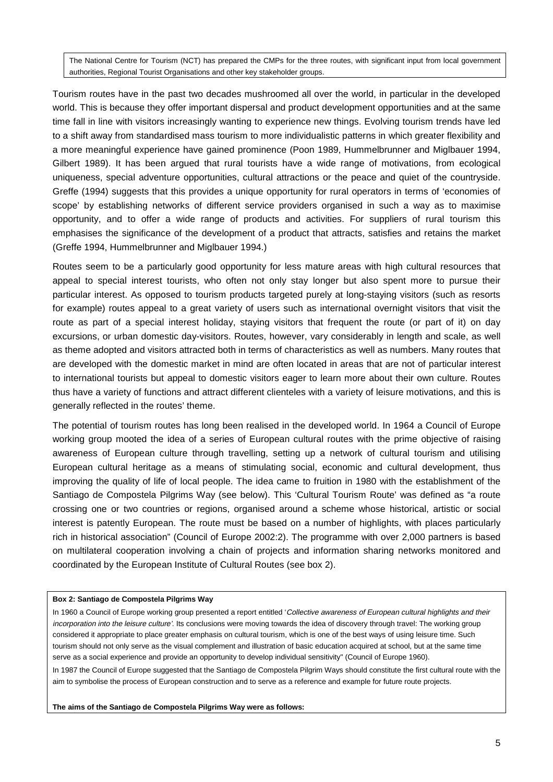The National Centre for Tourism (NCT) has prepared the CMPs for the three routes, with significant input from local government authorities, Regional Tourist Organisations and other key stakeholder groups.

Tourism routes have in the past two decades mushroomed all over the world, in particular in the developed world. This is because they offer important dispersal and product development opportunities and at the same time fall in line with visitors increasingly wanting to experience new things. Evolving tourism trends have led to a shift away from standardised mass tourism to more individualistic patterns in which greater flexibility and a more meaningful experience have gained prominence (Poon 1989, Hummelbrunner and Miglbauer 1994, Gilbert 1989). It has been argued that rural tourists have a wide range of motivations, from ecological uniqueness, special adventure opportunities, cultural attractions or the peace and quiet of the countryside. Greffe (1994) suggests that this provides a unique opportunity for rural operators in terms of 'economies of scope' by establishing networks of different service providers organised in such a way as to maximise opportunity, and to offer a wide range of products and activities. For suppliers of rural tourism this emphasises the significance of the development of a product that attracts, satisfies and retains the market (Greffe 1994, Hummelbrunner and Miglbauer 1994.)

Routes seem to be a particularly good opportunity for less mature areas with high cultural resources that appeal to special interest tourists, who often not only stay longer but also spent more to pursue their particular interest. As opposed to tourism products targeted purely at long-staying visitors (such as resorts for example) routes appeal to a great variety of users such as international overnight visitors that visit the route as part of a special interest holiday, staying visitors that frequent the route (or part of it) on day excursions, or urban domestic day-visitors. Routes, however, vary considerably in length and scale, as well as theme adopted and visitors attracted both in terms of characteristics as well as numbers. Many routes that are developed with the domestic market in mind are often located in areas that are not of particular interest to international tourists but appeal to domestic visitors eager to learn more about their own culture. Routes thus have a variety of functions and attract different clienteles with a variety of leisure motivations, and this is generally reflected in the routes' theme.

The potential of tourism routes has long been realised in the developed world. In 1964 a Council of Europe working group mooted the idea of a series of European cultural routes with the prime objective of raising awareness of European culture through travelling, setting up a network of cultural tourism and utilising European cultural heritage as a means of stimulating social, economic and cultural development, thus improving the quality of life of local people. The idea came to fruition in 1980 with the establishment of the Santiago de Compostela Pilgrims Way (see below). This 'Cultural Tourism Route' was defined as "a route crossing one or two countries or regions, organised around a scheme whose historical, artistic or social interest is patently European. The route must be based on a number of highlights, with places particularly rich in historical association" (Council of Europe 2002:2). The programme with over 2,000 partners is based on multilateral cooperation involving a chain of projects and information sharing networks monitored and coordinated by the European Institute of Cultural Routes (see box 2).

#### **Box 2: Santiago de Compostela Pilgrims Way**

In 1960 a Council of Europe working group presented a report entitled 'Collective awareness of European cultural highlights and their incorporation into the leisure culture'. Its conclusions were moving towards the idea of discovery through travel: The working group considered it appropriate to place greater emphasis on cultural tourism, which is one of the best ways of using leisure time. Such tourism should not only serve as the visual complement and illustration of basic education acquired at school, but at the same time serve as a social experience and provide an opportunity to develop individual sensitivity" (Council of Europe 1960).

In 1987 the Council of Europe suggested that the Santiago de Compostela Pilgrim Ways should constitute the first cultural route with the aim to symbolise the process of European construction and to serve as a reference and example for future route projects.

**The aims of the Santiago de Compostela Pilgrims Way were as follows:**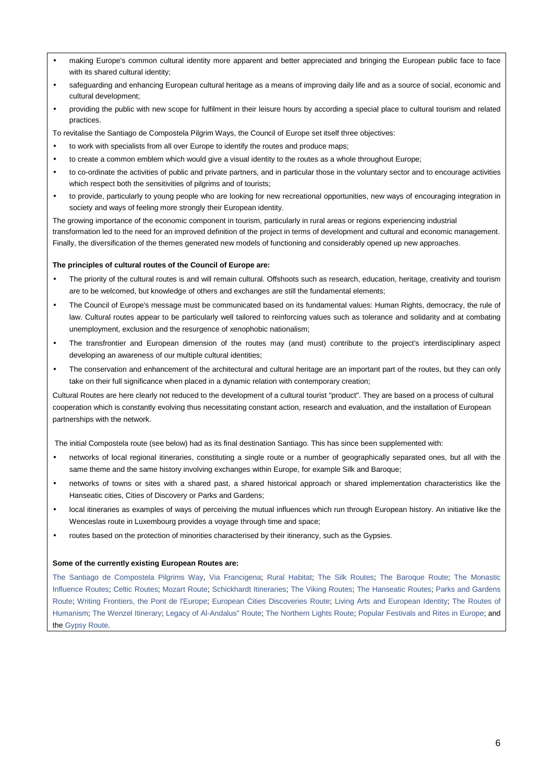- making Europe's common cultural identity more apparent and better appreciated and bringing the European public face to face with its shared cultural identity;
- safeguarding and enhancing European cultural heritage as a means of improving daily life and as a source of social, economic and cultural development;
- providing the public with new scope for fulfilment in their leisure hours by according a special place to cultural tourism and related practices.

To revitalise the Santiago de Compostela Pilgrim Ways, the Council of Europe set itself three objectives:

- to work with specialists from all over Europe to identify the routes and produce maps;
- to create a common emblem which would give a visual identity to the routes as a whole throughout Europe:
- to co-ordinate the activities of public and private partners, and in particular those in the voluntary sector and to encourage activities which respect both the sensitivities of pilgrims and of tourists;
- to provide, particularly to young people who are looking for new recreational opportunities, new ways of encouraging integration in society and ways of feeling more strongly their European identity.

The growing importance of the economic component in tourism, particularly in rural areas or regions experiencing industrial transformation led to the need for an improved definition of the project in terms of development and cultural and economic management. Finally, the diversification of the themes generated new models of functioning and considerably opened up new approaches.

#### **The principles of cultural routes of the Council of Europe are:**

- The priority of the cultural routes is and will remain cultural. Offshoots such as research, education, heritage, creativity and tourism are to be welcomed, but knowledge of others and exchanges are still the fundamental elements;
- The Council of Europe's message must be communicated based on its fundamental values: Human Rights, democracy, the rule of law. Cultural routes appear to be particularly well tailored to reinforcing values such as tolerance and solidarity and at combating unemployment, exclusion and the resurgence of xenophobic nationalism;
- The transfrontier and European dimension of the routes may (and must) contribute to the project's interdisciplinary aspect developing an awareness of our multiple cultural identities;
- The conservation and enhancement of the architectural and cultural heritage are an important part of the routes, but they can only take on their full significance when placed in a dynamic relation with contemporary creation;

Cultural Routes are here clearly not reduced to the development of a cultural tourist "product". They are based on a process of cultural cooperation which is constantly evolving thus necessitating constant action, research and evaluation, and the installation of European partnerships with the network.

The initial Compostela route (see below) had as its final destination Santiago. This has since been supplemented with:

- networks of local regional itineraries, constituting a single route or a number of geographically separated ones, but all with the same theme and the same history involving exchanges within Europe, for example Silk and Baroque;
- networks of towns or sites with a shared past, a shared historical approach or shared implementation characteristics like the Hanseatic cities, Cities of Discovery or Parks and Gardens;
- local itineraries as examples of ways of perceiving the mutual influences which run through European history. An initiative like the Wenceslas route in Luxembourg provides a voyage through time and space;
- routes based on the protection of minorities characterised by their itinerancy, such as the Gypsies.

#### **Some of the currently existing European Routes are:**

The Santiago de Compostela Pilgrims Way, Via Francigena; Rural Habitat; The Silk Routes; The Baroque Route; The Monastic Influence Routes; Celtic Routes; Mozart Route; Schickhardt Itineraries; The Viking Routes; The Hanseatic Routes; Parks and Gardens Route; Writing Frontiers, the Pont de l'Europe; European Cities Discoveries Route; Living Arts and European Identity; The Routes of Humanism; The Wenzel Itinerary; Legacy of Al-Andalus" Route; The Northern Lights Route; Popular Festivals and Rites in Europe; and the Gypsy Route.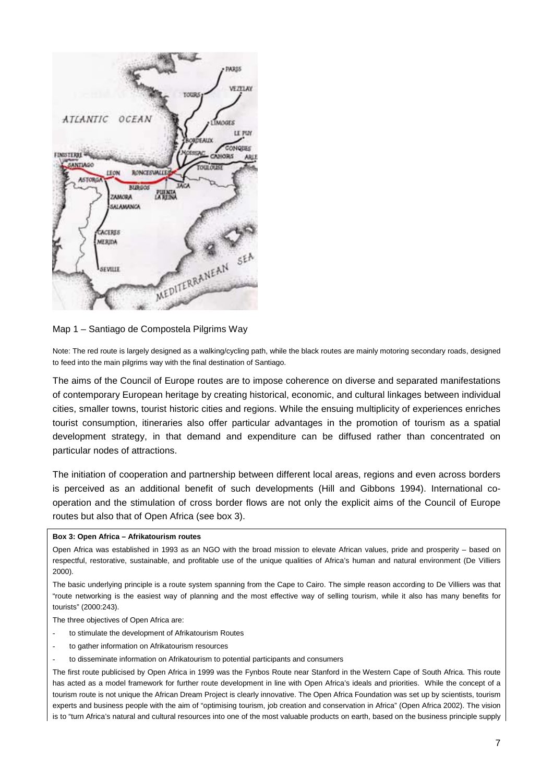

Map 1 – Santiago de Compostela Pilgrims Way

Note: The red route is largely designed as a walking/cycling path, while the black routes are mainly motoring secondary roads, designed to feed into the main pilgrims way with the final destination of Santiago.

The aims of the Council of Europe routes are to impose coherence on diverse and separated manifestations of contemporary European heritage by creating historical, economic, and cultural linkages between individual cities, smaller towns, tourist historic cities and regions. While the ensuing multiplicity of experiences enriches tourist consumption, itineraries also offer particular advantages in the promotion of tourism as a spatial development strategy, in that demand and expenditure can be diffused rather than concentrated on particular nodes of attractions.

The initiation of cooperation and partnership between different local areas, regions and even across borders is perceived as an additional benefit of such developments (Hill and Gibbons 1994). International cooperation and the stimulation of cross border flows are not only the explicit aims of the Council of Europe routes but also that of Open Africa (see box 3).

#### **Box 3: Open Africa – Afrikatourism routes**

The basic underlying principle is a route system spanning from the Cape to Cairo. The simple reason according to De Villiers was that "route networking is the easiest way of planning and the most effective way of selling tourism, while it also has many benefits for tourists" (2000:243).

The three objectives of Open Africa are:

- to stimulate the development of Afrikatourism Routes
- to gather information on Afrikatourism resources
- to disseminate information on Afrikatourism to potential participants and consumers

The first route publicised by Open Africa in 1999 was the Fynbos Route near Stanford in the Western Cape of South Africa. This route has acted as a model framework for further route development in line with Open Africa's ideals and priorities. While the concept of a tourism route is not unique the African Dream Project is clearly innovative. The Open Africa Foundation was set up by scientists, tourism experts and business people with the aim of "optimising tourism, job creation and conservation in Africa" (Open Africa 2002). The vision is to "turn Africa's natural and cultural resources into one of the most valuable products on earth, based on the business principle supply

Open Africa was established in 1993 as an NGO with the broad mission to elevate African values, pride and prosperity – based on respectful, restorative, sustainable, and profitable use of the unique qualities of Africa's human and natural environment (De Villiers 2000).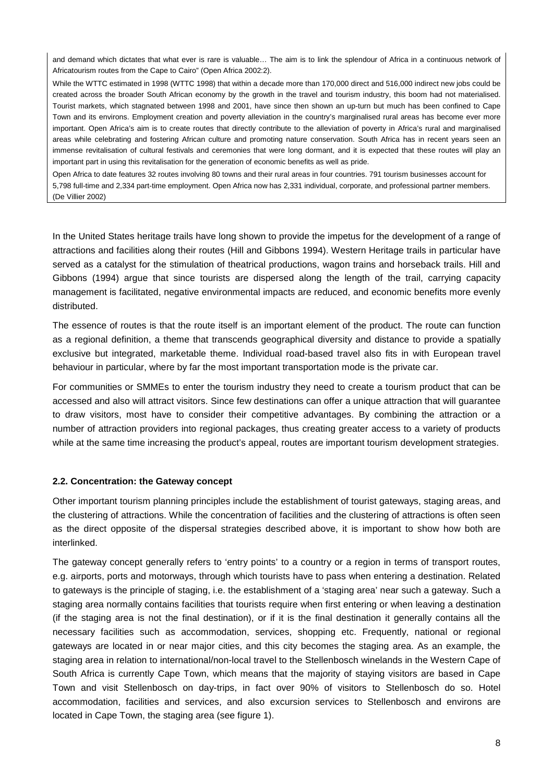and demand which dictates that what ever is rare is valuable… The aim is to link the splendour of Africa in a continuous network of Africatourism routes from the Cape to Cairo" (Open Africa 2002:2).

While the WTTC estimated in 1998 (WTTC 1998) that within a decade more than 170,000 direct and 516,000 indirect new jobs could be created across the broader South African economy by the growth in the travel and tourism industry, this boom had not materialised. Tourist markets, which stagnated between 1998 and 2001, have since then shown an up-turn but much has been confined to Cape Town and its environs. Employment creation and poverty alleviation in the country's marginalised rural areas has become ever more important. Open Africa's aim is to create routes that directly contribute to the alleviation of poverty in Africa's rural and marginalised areas while celebrating and fostering African culture and promoting nature conservation. South Africa has in recent years seen an immense revitalisation of cultural festivals and ceremonies that were long dormant, and it is expected that these routes will play an important part in using this revitalisation for the generation of economic benefits as well as pride.

Open Africa to date features 32 routes involving 80 towns and their rural areas in four countries. 791 tourism businesses account for 5,798 full-time and 2,334 part-time employment. Open Africa now has 2,331 individual, corporate, and professional partner members. (De Villier 2002)

In the United States heritage trails have long shown to provide the impetus for the development of a range of attractions and facilities along their routes (Hill and Gibbons 1994). Western Heritage trails in particular have served as a catalyst for the stimulation of theatrical productions, wagon trains and horseback trails. Hill and Gibbons (1994) argue that since tourists are dispersed along the length of the trail, carrying capacity management is facilitated, negative environmental impacts are reduced, and economic benefits more evenly distributed.

The essence of routes is that the route itself is an important element of the product. The route can function as a regional definition, a theme that transcends geographical diversity and distance to provide a spatially exclusive but integrated, marketable theme. Individual road-based travel also fits in with European travel behaviour in particular, where by far the most important transportation mode is the private car.

For communities or SMMEs to enter the tourism industry they need to create a tourism product that can be accessed and also will attract visitors. Since few destinations can offer a unique attraction that will guarantee to draw visitors, most have to consider their competitive advantages. By combining the attraction or a number of attraction providers into regional packages, thus creating greater access to a variety of products while at the same time increasing the product's appeal, routes are important tourism development strategies.

## **2.2. Concentration: the Gateway concept**

Other important tourism planning principles include the establishment of tourist gateways, staging areas, and the clustering of attractions. While the concentration of facilities and the clustering of attractions is often seen as the direct opposite of the dispersal strategies described above, it is important to show how both are interlinked.

The gateway concept generally refers to 'entry points' to a country or a region in terms of transport routes, e.g. airports, ports and motorways, through which tourists have to pass when entering a destination. Related to gateways is the principle of staging, i.e. the establishment of a 'staging area' near such a gateway. Such a staging area normally contains facilities that tourists require when first entering or when leaving a destination (if the staging area is not the final destination), or if it is the final destination it generally contains all the necessary facilities such as accommodation, services, shopping etc. Frequently, national or regional gateways are located in or near major cities, and this city becomes the staging area. As an example, the staging area in relation to international/non-local travel to the Stellenbosch winelands in the Western Cape of South Africa is currently Cape Town, which means that the majority of staying visitors are based in Cape Town and visit Stellenbosch on day-trips, in fact over 90% of visitors to Stellenbosch do so. Hotel accommodation, facilities and services, and also excursion services to Stellenbosch and environs are located in Cape Town, the staging area (see figure 1).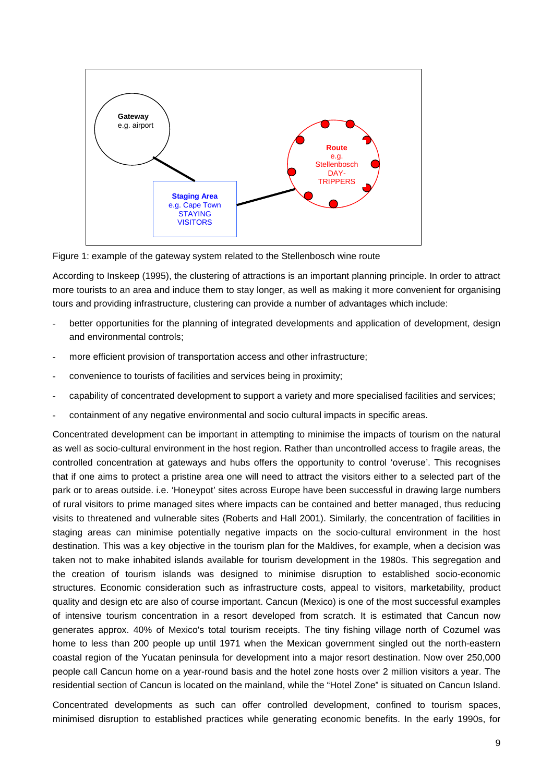

Figure 1: example of the gateway system related to the Stellenbosch wine route

According to Inskeep (1995), the clustering of attractions is an important planning principle. In order to attract more tourists to an area and induce them to stay longer, as well as making it more convenient for organising tours and providing infrastructure, clustering can provide a number of advantages which include:

- better opportunities for the planning of integrated developments and application of development, design and environmental controls;
- more efficient provision of transportation access and other infrastructure;
- convenience to tourists of facilities and services being in proximity;
- capability of concentrated development to support a variety and more specialised facilities and services;
- containment of any negative environmental and socio cultural impacts in specific areas.

Concentrated development can be important in attempting to minimise the impacts of tourism on the natural as well as socio-cultural environment in the host region. Rather than uncontrolled access to fragile areas, the controlled concentration at gateways and hubs offers the opportunity to control 'overuse'. This recognises that if one aims to protect a pristine area one will need to attract the visitors either to a selected part of the park or to areas outside. i.e. 'Honeypot' sites across Europe have been successful in drawing large numbers of rural visitors to prime managed sites where impacts can be contained and better managed, thus reducing visits to threatened and vulnerable sites (Roberts and Hall 2001). Similarly, the concentration of facilities in staging areas can minimise potentially negative impacts on the socio-cultural environment in the host destination. This was a key objective in the tourism plan for the Maldives, for example, when a decision was taken not to make inhabited islands available for tourism development in the 1980s. This segregation and the creation of tourism islands was designed to minimise disruption to established socio-economic structures. Economic consideration such as infrastructure costs, appeal to visitors, marketability, product quality and design etc are also of course important. Cancun (Mexico) is one of the most successful examples of intensive tourism concentration in a resort developed from scratch. It is estimated that Cancun now generates approx. 40% of Mexico's total tourism receipts. The tiny fishing village north of Cozumel was home to less than 200 people up until 1971 when the Mexican government singled out the north-eastern coastal region of the Yucatan peninsula for development into a major resort destination. Now over 250,000 people call Cancun home on a year-round basis and the hotel zone hosts over 2 million visitors a year. The residential section of Cancun is located on the mainland, while the "Hotel Zone" is situated on Cancun Island.

Concentrated developments as such can offer controlled development, confined to tourism spaces, minimised disruption to established practices while generating economic benefits. In the early 1990s, for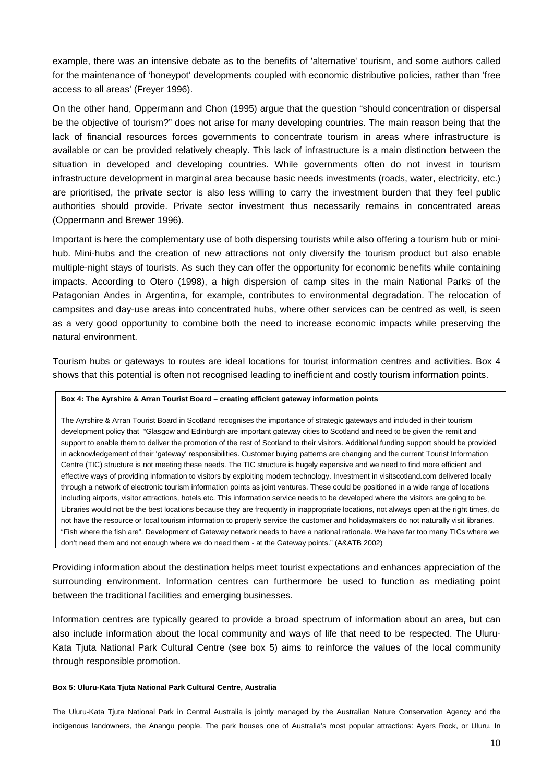example, there was an intensive debate as to the benefits of 'alternative' tourism, and some authors called for the maintenance of 'honeypot' developments coupled with economic distributive policies, rather than 'free access to all areas' (Freyer 1996).

On the other hand, Oppermann and Chon (1995) argue that the question "should concentration or dispersal be the objective of tourism?" does not arise for many developing countries. The main reason being that the lack of financial resources forces governments to concentrate tourism in areas where infrastructure is available or can be provided relatively cheaply. This lack of infrastructure is a main distinction between the situation in developed and developing countries. While governments often do not invest in tourism infrastructure development in marginal area because basic needs investments (roads, water, electricity, etc.) are prioritised, the private sector is also less willing to carry the investment burden that they feel public authorities should provide. Private sector investment thus necessarily remains in concentrated areas (Oppermann and Brewer 1996).

Important is here the complementary use of both dispersing tourists while also offering a tourism hub or minihub. Mini-hubs and the creation of new attractions not only diversify the tourism product but also enable multiple-night stays of tourists. As such they can offer the opportunity for economic benefits while containing impacts. According to Otero (1998), a high dispersion of camp sites in the main National Parks of the Patagonian Andes in Argentina, for example, contributes to environmental degradation. The relocation of campsites and day-use areas into concentrated hubs, where other services can be centred as well, is seen as a very good opportunity to combine both the need to increase economic impacts while preserving the natural environment.

Tourism hubs or gateways to routes are ideal locations for tourist information centres and activities. Box 4 shows that this potential is often not recognised leading to inefficient and costly tourism information points.

#### **Box 4: The Ayrshire & Arran Tourist Board – creating efficient gateway information points**

The Ayrshire & Arran Tourist Board in Scotland recognises the importance of strategic gateways and included in their tourism development policy that "Glasgow and Edinburgh are important gateway cities to Scotland and need to be given the remit and support to enable them to deliver the promotion of the rest of Scotland to their visitors. Additional funding support should be provided in acknowledgement of their 'gateway' responsibilities. Customer buying patterns are changing and the current Tourist Information Centre (TIC) structure is not meeting these needs. The TIC structure is hugely expensive and we need to find more efficient and effective ways of providing information to visitors by exploiting modern technology. Investment in visitscotland.com delivered locally through a network of electronic tourism information points as joint ventures. These could be positioned in a wide range of locations including airports, visitor attractions, hotels etc. This information service needs to be developed where the visitors are going to be. Libraries would not be the best locations because they are frequently in inappropriate locations, not always open at the right times, do not have the resource or local tourism information to properly service the customer and holidaymakers do not naturally visit libraries. "Fish where the fish are". Development of Gateway network needs to have a national rationale. We have far too many TICs where we don't need them and not enough where we do need them - at the Gateway points." (A&ATB 2002)

Providing information about the destination helps meet tourist expectations and enhances appreciation of the surrounding environment. Information centres can furthermore be used to function as mediating point between the traditional facilities and emerging businesses.

Information centres are typically geared to provide a broad spectrum of information about an area, but can also include information about the local community and ways of life that need to be respected. The Uluru-Kata Tjuta National Park Cultural Centre (see box 5) aims to reinforce the values of the local community through responsible promotion.

#### **Box 5: Uluru-Kata Tjuta National Park Cultural Centre, Australia**

The Uluru-Kata Tjuta National Park in Central Australia is jointly managed by the Australian Nature Conservation Agency and the indigenous landowners, the Anangu people. The park houses one of Australia's most popular attractions: Ayers Rock, or Uluru. In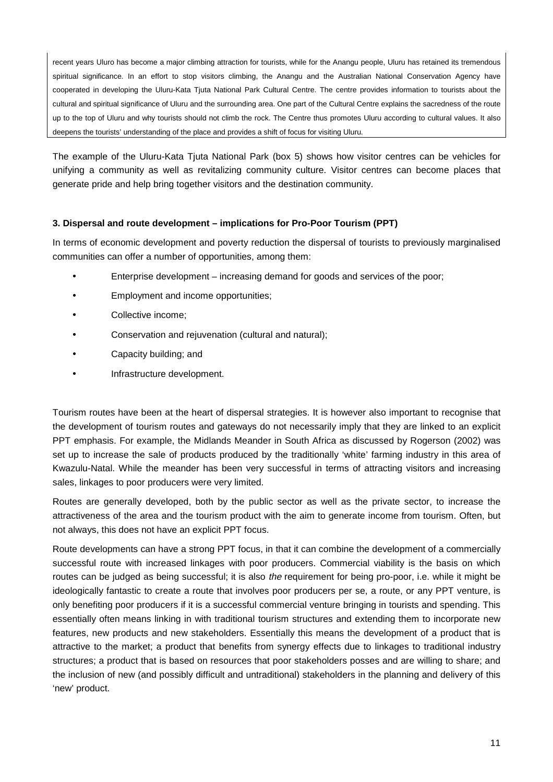recent years Uluro has become a major climbing attraction for tourists, while for the Anangu people, Uluru has retained its tremendous spiritual significance. In an effort to stop visitors climbing, the Anangu and the Australian National Conservation Agency have cooperated in developing the Uluru-Kata Tjuta National Park Cultural Centre. The centre provides information to tourists about the cultural and spiritual significance of Uluru and the surrounding area. One part of the Cultural Centre explains the sacredness of the route up to the top of Uluru and why tourists should not climb the rock. The Centre thus promotes Uluru according to cultural values. It also deepens the tourists' understanding of the place and provides a shift of focus for visiting Uluru.

The example of the Uluru-Kata Tjuta National Park (box 5) shows how visitor centres can be vehicles for unifying a community as well as revitalizing community culture. Visitor centres can become places that generate pride and help bring together visitors and the destination community.

# **3. Dispersal and route development – implications for Pro-Poor Tourism (PPT)**

In terms of economic development and poverty reduction the dispersal of tourists to previously marginalised communities can offer a number of opportunities, among them:

- Enterprise development increasing demand for goods and services of the poor;
- Employment and income opportunities;
- Collective income:
- Conservation and rejuvenation (cultural and natural);
- Capacity building; and
- Infrastructure development.

Tourism routes have been at the heart of dispersal strategies. It is however also important to recognise that the development of tourism routes and gateways do not necessarily imply that they are linked to an explicit PPT emphasis. For example, the Midlands Meander in South Africa as discussed by Rogerson (2002) was set up to increase the sale of products produced by the traditionally 'white' farming industry in this area of Kwazulu-Natal. While the meander has been very successful in terms of attracting visitors and increasing sales, linkages to poor producers were very limited.

Routes are generally developed, both by the public sector as well as the private sector, to increase the attractiveness of the area and the tourism product with the aim to generate income from tourism. Often, but not always, this does not have an explicit PPT focus.

Route developments can have a strong PPT focus, in that it can combine the development of a commercially successful route with increased linkages with poor producers. Commercial viability is the basis on which routes can be judged as being successful; it is also *the* requirement for being pro-poor, i.e. while it might be ideologically fantastic to create a route that involves poor producers per se, a route, or any PPT venture, is only benefiting poor producers if it is a successful commercial venture bringing in tourists and spending. This essentially often means linking in with traditional tourism structures and extending them to incorporate new features, new products and new stakeholders. Essentially this means the development of a product that is attractive to the market; a product that benefits from synergy effects due to linkages to traditional industry structures; a product that is based on resources that poor stakeholders posses and are willing to share; and the inclusion of new (and possibly difficult and untraditional) stakeholders in the planning and delivery of this 'new' product.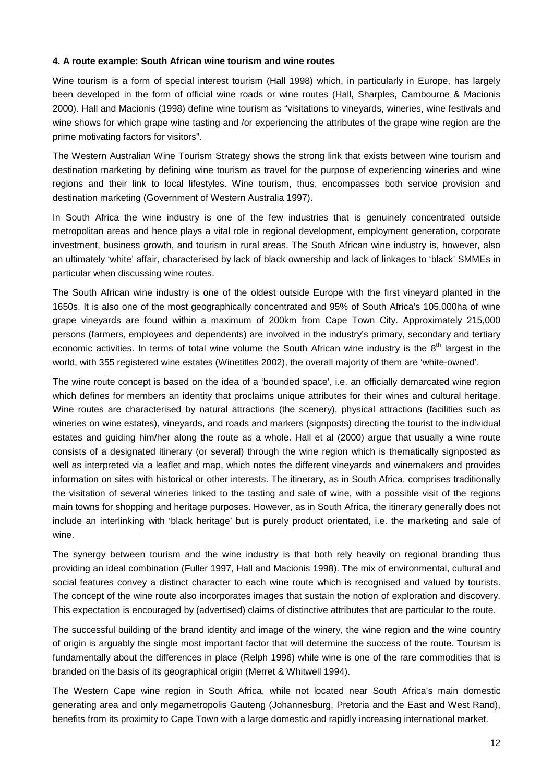## **4. A route example: South African wine tourism and wine routes**

Wine tourism is a form of special interest tourism (Hall 1998) which, in particularly in Europe, has largely been developed in the form of official wine roads or wine routes (Hall, Sharples, Cambourne & Macionis 2000). Hall and Macionis (1998) define wine tourism as "visitations to vineyards, wineries, wine festivals and wine shows for which grape wine tasting and /or experiencing the attributes of the grape wine region are the prime motivating factors for visitors".

The Western Australian Wine Tourism Strategy shows the strong link that exists between wine tourism and destination marketing by defining wine tourism as travel for the purpose of experiencing wineries and wine regions and their link to local lifestyles. Wine tourism, thus, encompasses both service provision and destination marketing (Government of Western Australia 1997).

In South Africa the wine industry is one of the few industries that is genuinely concentrated outside metropolitan areas and hence plays a vital role in regional development, employment generation, corporate investment, business growth, and tourism in rural areas. The South African wine industry is, however, also an ultimately 'white' affair, characterised by lack of black ownership and lack of linkages to 'black' SMMEs in particular when discussing wine routes.

The South African wine industry is one of the oldest outside Europe with the first vineyard planted in the 1650s. It is also one of the most geographically concentrated and 95% of South Africa's 105,000ha of wine grape vineyards are found within a maximum of 200km from Cape Town City. Approximately 215,000 persons (farmers, employees and dependents) are involved in the industry's primary, secondary and tertiary economic activities. In terms of total wine volume the South African wine industry is the  $8<sup>th</sup>$  largest in the world, with 355 registered wine estates (Winetitles 2002), the overall majority of them are 'white-owned'.

The wine route concept is based on the idea of a 'bounded space', i.e. an officially demarcated wine region which defines for members an identity that proclaims unique attributes for their wines and cultural heritage. Wine routes are characterised by natural attractions (the scenery), physical attractions (facilities such as wineries on wine estates), vineyards, and roads and markers (signposts) directing the tourist to the individual estates and guiding him/her along the route as a whole. Hall et al (2000) argue that usually a wine route consists of a designated itinerary (or several) through the wine region which is thematically signposted as well as interpreted via a leaflet and map, which notes the different vineyards and winemakers and provides information on sites with historical or other interests. The itinerary, as in South Africa, comprises traditionally the visitation of several wineries linked to the tasting and sale of wine, with a possible visit of the regions main towns for shopping and heritage purposes. However, as in South Africa, the itinerary generally does not include an interlinking with 'black heritage' but is purely product orientated, i.e. the marketing and sale of wine.

The synergy between tourism and the wine industry is that both rely heavily on regional branding thus providing an ideal combination (Fuller 1997, Hall and Macionis 1998). The mix of environmental, cultural and social features convey a distinct character to each wine route which is recognised and valued by tourists. The concept of the wine route also incorporates images that sustain the notion of exploration and discovery. This expectation is encouraged by (advertised) claims of distinctive attributes that are particular to the route.

The successful building of the brand identity and image of the winery, the wine region and the wine country of origin is arguably the single most important factor that will determine the success of the route. Tourism is fundamentally about the differences in place (Relph 1996) while wine is one of the rare commodities that is branded on the basis of its geographical origin (Merret & Whitwell 1994).

The Western Cape wine region in South Africa, while not located near South Africa's main domestic generating area and only megametropolis Gauteng (Johannesburg, Pretoria and the East and West Rand), benefits from its proximity to Cape Town with a large domestic and rapidly increasing international market.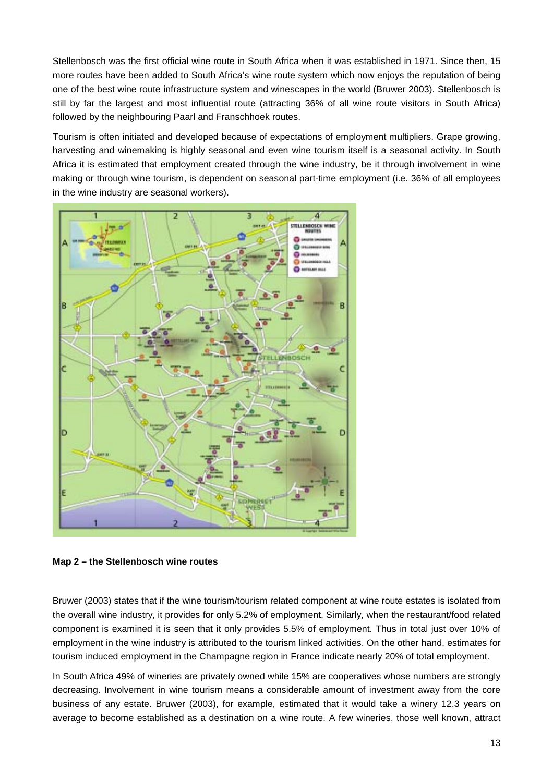Stellenbosch was the first official wine route in South Africa when it was established in 1971. Since then, 15 more routes have been added to South Africa's wine route system which now enjoys the reputation of being one of the best wine route infrastructure system and winescapes in the world (Bruwer 2003). Stellenbosch is still by far the largest and most influential route (attracting 36% of all wine route visitors in South Africa) followed by the neighbouring Paarl and Franschhoek routes.

Tourism is often initiated and developed because of expectations of employment multipliers. Grape growing, harvesting and winemaking is highly seasonal and even wine tourism itself is a seasonal activity. In South Africa it is estimated that employment created through the wine industry, be it through involvement in wine making or through wine tourism, is dependent on seasonal part-time employment (i.e. 36% of all employees in the wine industry are seasonal workers).



**Map 2 – the Stellenbosch wine routes** 

Bruwer (2003) states that if the wine tourism/tourism related component at wine route estates is isolated from the overall wine industry, it provides for only 5.2% of employment. Similarly, when the restaurant/food related component is examined it is seen that it only provides 5.5% of employment. Thus in total just over 10% of employment in the wine industry is attributed to the tourism linked activities. On the other hand, estimates for tourism induced employment in the Champagne region in France indicate nearly 20% of total employment.

In South Africa 49% of wineries are privately owned while 15% are cooperatives whose numbers are strongly decreasing. Involvement in wine tourism means a considerable amount of investment away from the core business of any estate. Bruwer (2003), for example, estimated that it would take a winery 12.3 years on average to become established as a destination on a wine route. A few wineries, those well known, attract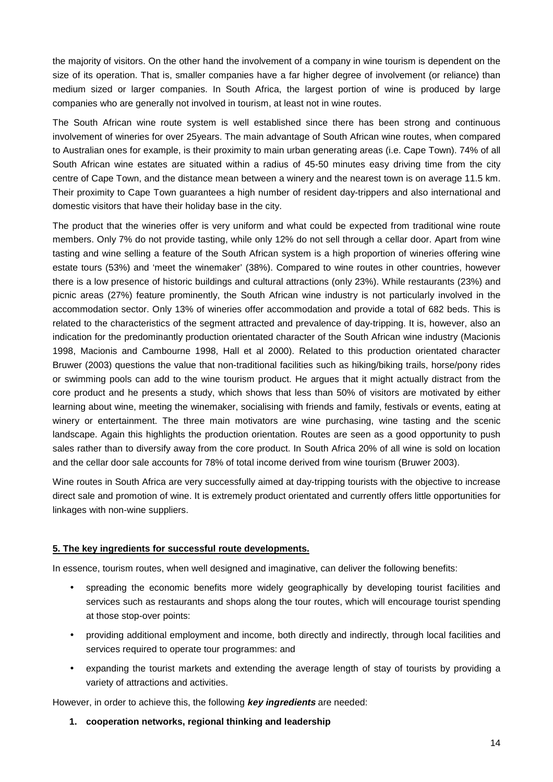the majority of visitors. On the other hand the involvement of a company in wine tourism is dependent on the size of its operation. That is, smaller companies have a far higher degree of involvement (or reliance) than medium sized or larger companies. In South Africa, the largest portion of wine is produced by large companies who are generally not involved in tourism, at least not in wine routes.

The South African wine route system is well established since there has been strong and continuous involvement of wineries for over 25years. The main advantage of South African wine routes, when compared to Australian ones for example, is their proximity to main urban generating areas (i.e. Cape Town). 74% of all South African wine estates are situated within a radius of 45-50 minutes easy driving time from the city centre of Cape Town, and the distance mean between a winery and the nearest town is on average 11.5 km. Their proximity to Cape Town guarantees a high number of resident day-trippers and also international and domestic visitors that have their holiday base in the city.

The product that the wineries offer is very uniform and what could be expected from traditional wine route members. Only 7% do not provide tasting, while only 12% do not sell through a cellar door. Apart from wine tasting and wine selling a feature of the South African system is a high proportion of wineries offering wine estate tours (53%) and 'meet the winemaker' (38%). Compared to wine routes in other countries, however there is a low presence of historic buildings and cultural attractions (only 23%). While restaurants (23%) and picnic areas (27%) feature prominently, the South African wine industry is not particularly involved in the accommodation sector. Only 13% of wineries offer accommodation and provide a total of 682 beds. This is related to the characteristics of the segment attracted and prevalence of day-tripping. It is, however, also an indication for the predominantly production orientated character of the South African wine industry (Macionis 1998, Macionis and Cambourne 1998, Hall et al 2000). Related to this production orientated character Bruwer (2003) questions the value that non-traditional facilities such as hiking/biking trails, horse/pony rides or swimming pools can add to the wine tourism product. He argues that it might actually distract from the core product and he presents a study, which shows that less than 50% of visitors are motivated by either learning about wine, meeting the winemaker, socialising with friends and family, festivals or events, eating at winery or entertainment. The three main motivators are wine purchasing, wine tasting and the scenic landscape. Again this highlights the production orientation. Routes are seen as a good opportunity to push sales rather than to diversify away from the core product. In South Africa 20% of all wine is sold on location and the cellar door sale accounts for 78% of total income derived from wine tourism (Bruwer 2003).

Wine routes in South Africa are very successfully aimed at day-tripping tourists with the objective to increase direct sale and promotion of wine. It is extremely product orientated and currently offers little opportunities for linkages with non-wine suppliers.

## **5. The key ingredients for successful route developments.**

In essence, tourism routes, when well designed and imaginative, can deliver the following benefits:

- spreading the economic benefits more widely geographically by developing tourist facilities and services such as restaurants and shops along the tour routes, which will encourage tourist spending at those stop-over points:
- providing additional employment and income, both directly and indirectly, through local facilities and services required to operate tour programmes: and
- expanding the tourist markets and extending the average length of stay of tourists by providing a variety of attractions and activities.

However, in order to achieve this, the following **key ingredients** are needed:

**1. cooperation networks, regional thinking and leadership**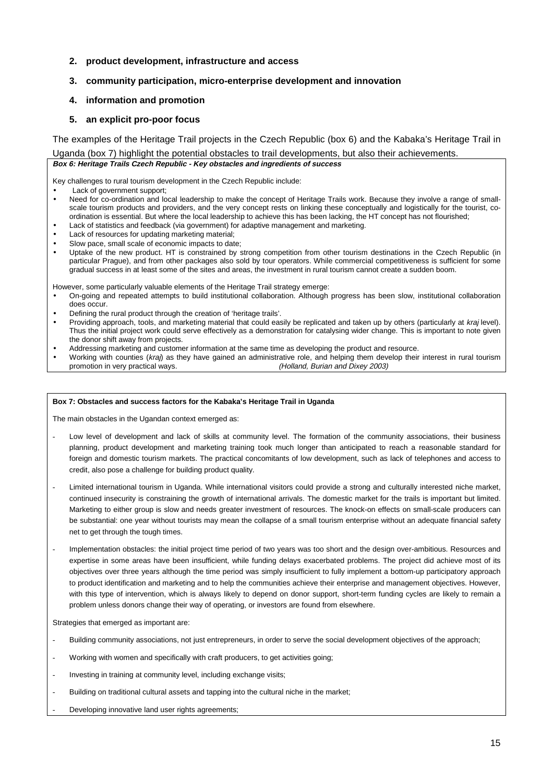## **2. product development, infrastructure and access**

## **3. community participation, micro-enterprise development and innovation**

## **4. information and promotion**

## **5. an explicit pro-poor focus**

The examples of the Heritage Trail projects in the Czech Republic (box 6) and the Kabaka's Heritage Trail in

Uganda (box 7) highlight the potential obstacles to trail developments, but also their achievements. **Box 6: Heritage Trails Czech Republic - Key obstacles and ingredients of success** 

Key challenges to rural tourism development in the Czech Republic include:

Lack of government support;

- Need for co-ordination and local leadership to make the concept of Heritage Trails work. Because they involve a range of smallscale tourism products and providers, and the very concept rests on linking these conceptually and logistically for the tourist, coordination is essential. But where the local leadership to achieve this has been lacking, the HT concept has not flourished;
- Lack of statistics and feedback (via government) for adaptive management and marketing.
- Lack of resources for updating marketing material;
- Slow pace, small scale of economic impacts to date;
- Uptake of the new product. HT is constrained by strong competition from other tourism destinations in the Czech Republic (in particular Prague), and from other packages also sold by tour operators. While commercial competitiveness is sufficient for some gradual success in at least some of the sites and areas, the investment in rural tourism cannot create a sudden boom.

However, some particularly valuable elements of the Heritage Trail strategy emerge:

- On-going and repeated attempts to build institutional collaboration. Although progress has been slow, institutional collaboration does occur.
- Defining the rural product through the creation of 'heritage trails'.
- Providing approach, tools, and marketing material that could easily be replicated and taken up by others (particularly at *kraj* level). Thus the initial project work could serve effectively as a demonstration for catalysing wider change. This is important to note given the donor shift away from projects.
- Addressing marketing and customer information at the same time as developing the product and resource.
- Working with counties (kraj) as they have gained an administrative role, and helping them develop their interest in rural tourism promotion in very practical ways. The state of the Holland, Burian and Dixey 2003)

#### **Box 7: Obstacles and success factors for the Kabaka's Heritage Trail in Uganda**

The main obstacles in the Ugandan context emerged as:

- Low level of development and lack of skills at community level. The formation of the community associations, their business planning, product development and marketing training took much longer than anticipated to reach a reasonable standard for foreign and domestic tourism markets. The practical concomitants of low development, such as lack of telephones and access to credit, also pose a challenge for building product quality.
- Limited international tourism in Uganda. While international visitors could provide a strong and culturally interested niche market. continued insecurity is constraining the growth of international arrivals. The domestic market for the trails is important but limited. Marketing to either group is slow and needs greater investment of resources. The knock-on effects on small-scale producers can be substantial: one year without tourists may mean the collapse of a small tourism enterprise without an adequate financial safety net to get through the tough times.
- Implementation obstacles: the initial project time period of two years was too short and the design over-ambitious. Resources and expertise in some areas have been insufficient, while funding delays exacerbated problems. The project did achieve most of its objectives over three years although the time period was simply insufficient to fully implement a bottom-up participatory approach to product identification and marketing and to help the communities achieve their enterprise and management objectives. However, with this type of intervention, which is always likely to depend on donor support, short-term funding cycles are likely to remain a problem unless donors change their way of operating, or investors are found from elsewhere.

Strategies that emerged as important are:

- Building community associations, not just entrepreneurs, in order to serve the social development objectives of the approach;
- Working with women and specifically with craft producers, to get activities going;
- Investing in training at community level, including exchange visits;
- Building on traditional cultural assets and tapping into the cultural niche in the market;
- Developing innovative land user rights agreements;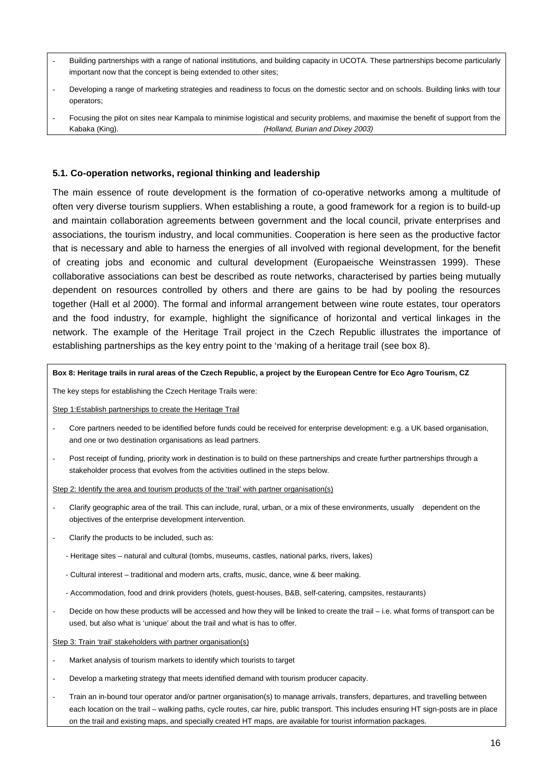- Building partnerships with a range of national institutions, and building capacity in UCOTA. These partnerships become particularly important now that the concept is being extended to other sites;
- Developing a range of marketing strategies and readiness to focus on the domestic sector and on schools. Building links with tour operators;
- Focusing the pilot on sites near Kampala to minimise logistical and security problems, and maximise the benefit of support from the Kabaka (King). (Kabaka (King). (Kabaka (King). (Holland, Burian and Dixey 2003)

## **5.1. Co-operation networks, regional thinking and leadership**

The main essence of route development is the formation of co-operative networks among a multitude of often very diverse tourism suppliers. When establishing a route, a good framework for a region is to build-up and maintain collaboration agreements between government and the local council, private enterprises and associations, the tourism industry, and local communities. Cooperation is here seen as the productive factor that is necessary and able to harness the energies of all involved with regional development, for the benefit of creating jobs and economic and cultural development (Europaeische Weinstrassen 1999). These collaborative associations can best be described as route networks, characterised by parties being mutually dependent on resources controlled by others and there are gains to be had by pooling the resources together (Hall et al 2000). The formal and informal arrangement between wine route estates, tour operators and the food industry, for example, highlight the significance of horizontal and vertical linkages in the network. The example of the Heritage Trail project in the Czech Republic illustrates the importance of establishing partnerships as the key entry point to the 'making of a heritage trail (see box 8).

#### **Box 8: Heritage trails in rural areas of the Czech Republic, a project by the European Centre for Eco Agro Tourism, CZ**

The key steps for establishing the Czech Heritage Trails were:

Step 1:Establish partnerships to create the Heritage Trail

- Core partners needed to be identified before funds could be received for enterprise development: e.g. a UK based organisation, and one or two destination organisations as lead partners.
- Post receipt of funding, priority work in destination is to build on these partnerships and create further partnerships through a stakeholder process that evolves from the activities outlined in the steps below.

Step 2: Identify the area and tourism products of the 'trail' with partner organisation(s)

- Clarify geographic area of the trail. This can include, rural, urban, or a mix of these environments, usually dependent on the objectives of the enterprise development intervention.
- Clarify the products to be included, such as:
	- Heritage sites natural and cultural (tombs, museums, castles, national parks, rivers, lakes)
	- Cultural interest traditional and modern arts, crafts, music, dance, wine & beer making.
	- Accommodation, food and drink providers (hotels, guest-houses, B&B, self-catering, campsites, restaurants)
- Decide on how these products will be accessed and how they will be linked to create the trail i.e. what forms of transport can be used, but also what is 'unique' about the trail and what is has to offer.
- Step 3: Train 'trail' stakeholders with partner organisation(s)
- Market analysis of tourism markets to identify which tourists to target
- Develop a marketing strategy that meets identified demand with tourism producer capacity.
- Train an in-bound tour operator and/or partner organisation(s) to manage arrivals, transfers, departures, and travelling between each location on the trail – walking paths, cycle routes, car hire, public transport. This includes ensuring HT sign-posts are in place on the trail and existing maps, and specially created HT maps, are available for tourist information packages.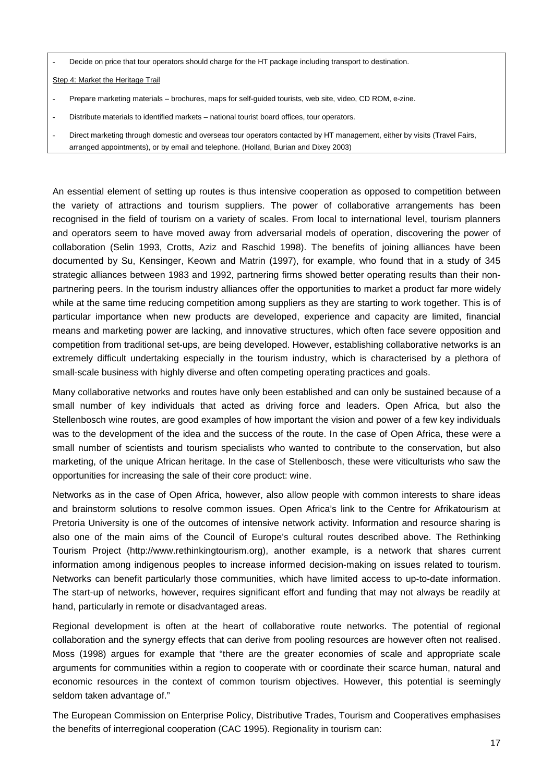Decide on price that tour operators should charge for the HT package including transport to destination.

Step 4: Market the Heritage Trail

- Prepare marketing materials brochures, maps for self-guided tourists, web site, video, CD ROM, e-zine.
- Distribute materials to identified markets national tourist board offices, tour operators.
- Direct marketing through domestic and overseas tour operators contacted by HT management, either by visits (Travel Fairs, arranged appointments), or by email and telephone. (Holland, Burian and Dixey 2003)

An essential element of setting up routes is thus intensive cooperation as opposed to competition between the variety of attractions and tourism suppliers. The power of collaborative arrangements has been recognised in the field of tourism on a variety of scales. From local to international level, tourism planners and operators seem to have moved away from adversarial models of operation, discovering the power of collaboration (Selin 1993, Crotts, Aziz and Raschid 1998). The benefits of joining alliances have been documented by Su, Kensinger, Keown and Matrin (1997), for example, who found that in a study of 345 strategic alliances between 1983 and 1992, partnering firms showed better operating results than their nonpartnering peers. In the tourism industry alliances offer the opportunities to market a product far more widely while at the same time reducing competition among suppliers as they are starting to work together. This is of particular importance when new products are developed, experience and capacity are limited, financial means and marketing power are lacking, and innovative structures, which often face severe opposition and competition from traditional set-ups, are being developed. However, establishing collaborative networks is an extremely difficult undertaking especially in the tourism industry, which is characterised by a plethora of small-scale business with highly diverse and often competing operating practices and goals.

Many collaborative networks and routes have only been established and can only be sustained because of a small number of key individuals that acted as driving force and leaders. Open Africa, but also the Stellenbosch wine routes, are good examples of how important the vision and power of a few key individuals was to the development of the idea and the success of the route. In the case of Open Africa, these were a small number of scientists and tourism specialists who wanted to contribute to the conservation, but also marketing, of the unique African heritage. In the case of Stellenbosch, these were viticulturists who saw the opportunities for increasing the sale of their core product: wine.

Networks as in the case of Open Africa, however, also allow people with common interests to share ideas and brainstorm solutions to resolve common issues. Open Africa's link to the Centre for Afrikatourism at Pretoria University is one of the outcomes of intensive network activity. Information and resource sharing is also one of the main aims of the Council of Europe's cultural routes described above. The Rethinking Tourism Project (http://www.rethinkingtourism.org), another example, is a network that shares current information among indigenous peoples to increase informed decision-making on issues related to tourism. Networks can benefit particularly those communities, which have limited access to up-to-date information. The start-up of networks, however, requires significant effort and funding that may not always be readily at hand, particularly in remote or disadvantaged areas.

Regional development is often at the heart of collaborative route networks. The potential of regional collaboration and the synergy effects that can derive from pooling resources are however often not realised. Moss (1998) argues for example that "there are the greater economies of scale and appropriate scale arguments for communities within a region to cooperate with or coordinate their scarce human, natural and economic resources in the context of common tourism objectives. However, this potential is seemingly seldom taken advantage of."

The European Commission on Enterprise Policy, Distributive Trades, Tourism and Cooperatives emphasises the benefits of interregional cooperation (CAC 1995). Regionality in tourism can: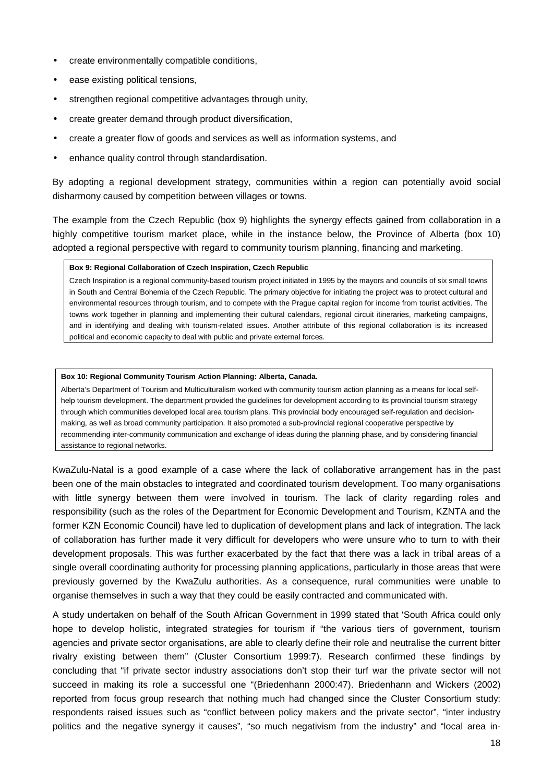- create environmentally compatible conditions,
- ease existing political tensions.
- strengthen regional competitive advantages through unity.
- create greater demand through product diversification,
- create a greater flow of goods and services as well as information systems, and
- enhance quality control through standardisation.

By adopting a regional development strategy, communities within a region can potentially avoid social disharmony caused by competition between villages or towns.

The example from the Czech Republic (box 9) highlights the synergy effects gained from collaboration in a highly competitive tourism market place, while in the instance below, the Province of Alberta (box 10) adopted a regional perspective with regard to community tourism planning, financing and marketing.

## **Box 9: Regional Collaboration of Czech Inspiration, Czech Republic**

Czech Inspiration is a regional community-based tourism project initiated in 1995 by the mayors and councils of six small towns in South and Central Bohemia of the Czech Republic. The primary objective for initiating the project was to protect cultural and environmental resources through tourism, and to compete with the Prague capital region for income from tourist activities. The towns work together in planning and implementing their cultural calendars, regional circuit itineraries, marketing campaigns, and in identifying and dealing with tourism-related issues. Another attribute of this regional collaboration is its increased political and economic capacity to deal with public and private external forces.

## **Box 10: Regional Community Tourism Action Planning: Alberta, Canada.**

Alberta's Department of Tourism and Multiculturalism worked with community tourism action planning as a means for local selfhelp tourism development. The department provided the guidelines for development according to its provincial tourism strategy through which communities developed local area tourism plans. This provincial body encouraged self-regulation and decisionmaking, as well as broad community participation. It also promoted a sub-provincial regional cooperative perspective by recommending inter-community communication and exchange of ideas during the planning phase, and by considering financial assistance to regional networks.

KwaZulu-Natal is a good example of a case where the lack of collaborative arrangement has in the past been one of the main obstacles to integrated and coordinated tourism development. Too many organisations with little synergy between them were involved in tourism. The lack of clarity regarding roles and responsibility (such as the roles of the Department for Economic Development and Tourism, KZNTA and the former KZN Economic Council) have led to duplication of development plans and lack of integration. The lack of collaboration has further made it very difficult for developers who were unsure who to turn to with their development proposals. This was further exacerbated by the fact that there was a lack in tribal areas of a single overall coordinating authority for processing planning applications, particularly in those areas that were previously governed by the KwaZulu authorities. As a consequence, rural communities were unable to organise themselves in such a way that they could be easily contracted and communicated with.

A study undertaken on behalf of the South African Government in 1999 stated that 'South Africa could only hope to develop holistic, integrated strategies for tourism if "the various tiers of government, tourism agencies and private sector organisations, are able to clearly define their role and neutralise the current bitter rivalry existing between them" (Cluster Consortium 1999:7). Research confirmed these findings by concluding that "if private sector industry associations don't stop their turf war the private sector will not succeed in making its role a successful one "(Briedenhann 2000:47). Briedenhann and Wickers (2002) reported from focus group research that nothing much had changed since the Cluster Consortium study: respondents raised issues such as "conflict between policy makers and the private sector", "inter industry politics and the negative synergy it causes", "so much negativism from the industry" and "local area in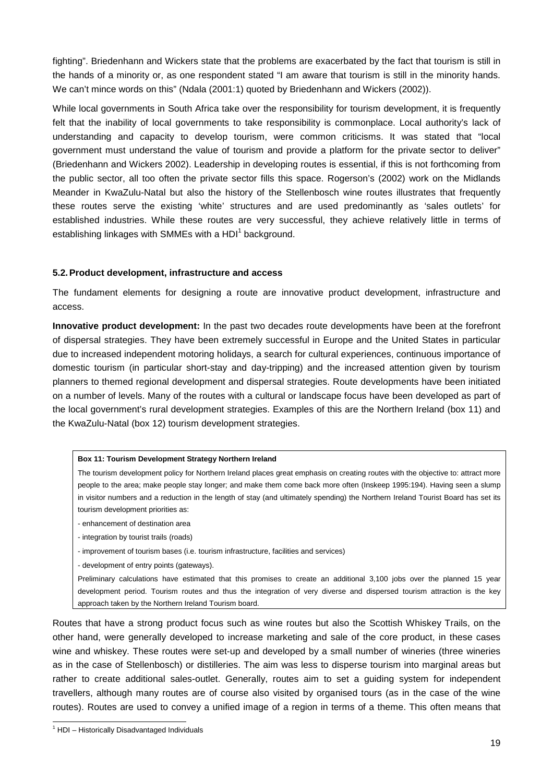fighting". Briedenhann and Wickers state that the problems are exacerbated by the fact that tourism is still in the hands of a minority or, as one respondent stated "I am aware that tourism is still in the minority hands. We can't mince words on this" (Ndala (2001:1) quoted by Briedenhann and Wickers (2002)).

While local governments in South Africa take over the responsibility for tourism development, it is frequently felt that the inability of local governments to take responsibility is commonplace. Local authority's lack of understanding and capacity to develop tourism, were common criticisms. It was stated that "local government must understand the value of tourism and provide a platform for the private sector to deliver" (Briedenhann and Wickers 2002). Leadership in developing routes is essential, if this is not forthcoming from the public sector, all too often the private sector fills this space. Rogerson's (2002) work on the Midlands Meander in KwaZulu-Natal but also the history of the Stellenbosch wine routes illustrates that frequently these routes serve the existing 'white' structures and are used predominantly as 'sales outlets' for established industries. While these routes are very successful, they achieve relatively little in terms of establishing linkages with SMMEs with a HDI $^1$  background.

## **5.2. Product development, infrastructure and access**

The fundament elements for designing a route are innovative product development, infrastructure and access.

**Innovative product development:** In the past two decades route developments have been at the forefront of dispersal strategies. They have been extremely successful in Europe and the United States in particular due to increased independent motoring holidays, a search for cultural experiences, continuous importance of domestic tourism (in particular short-stay and day-tripping) and the increased attention given by tourism planners to themed regional development and dispersal strategies. Route developments have been initiated on a number of levels. Many of the routes with a cultural or landscape focus have been developed as part of the local government's rural development strategies. Examples of this are the Northern Ireland (box 11) and the KwaZulu-Natal (box 12) tourism development strategies.

#### **Box 11: Tourism Development Strategy Northern Ireland**

The tourism development policy for Northern Ireland places great emphasis on creating routes with the objective to: attract more people to the area; make people stay longer; and make them come back more often (Inskeep 1995:194). Having seen a slump in visitor numbers and a reduction in the length of stay (and ultimately spending) the Northern Ireland Tourist Board has set its tourism development priorities as:

- enhancement of destination area
- integration by tourist trails (roads)
- improvement of tourism bases (i.e. tourism infrastructure, facilities and services)
- development of entry points (gateways).

Preliminary calculations have estimated that this promises to create an additional 3,100 jobs over the planned 15 year development period. Tourism routes and thus the integration of very diverse and dispersed tourism attraction is the key approach taken by the Northern Ireland Tourism board.

Routes that have a strong product focus such as wine routes but also the Scottish Whiskey Trails, on the other hand, were generally developed to increase marketing and sale of the core product, in these cases wine and whiskey. These routes were set-up and developed by a small number of wineries (three wineries as in the case of Stellenbosch) or distilleries. The aim was less to disperse tourism into marginal areas but rather to create additional sales-outlet. Generally, routes aim to set a guiding system for independent travellers, although many routes are of course also visited by organised tours (as in the case of the wine routes). Routes are used to convey a unified image of a region in terms of a theme. This often means that

l

<sup>&</sup>lt;sup>1</sup> HDI - Historically Disadvantaged Individuals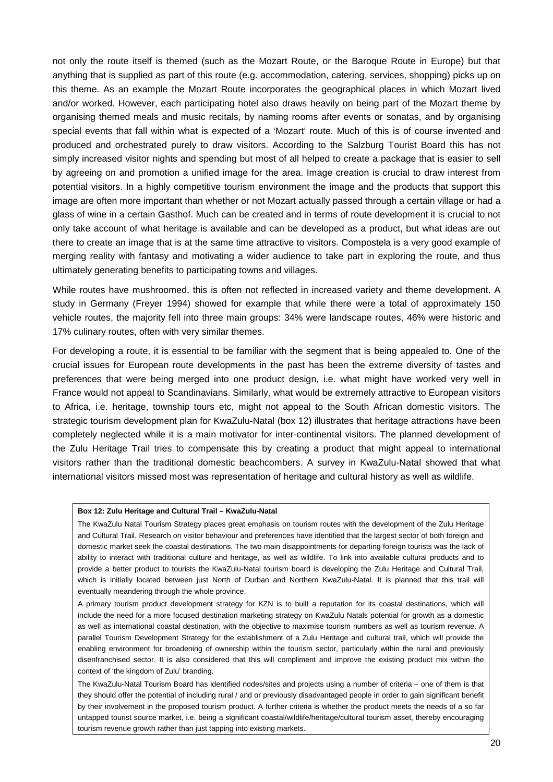not only the route itself is themed (such as the Mozart Route, or the Baroque Route in Europe) but that anything that is supplied as part of this route (e.g. accommodation, catering, services, shopping) picks up on this theme. As an example the Mozart Route incorporates the geographical places in which Mozart lived and/or worked. However, each participating hotel also draws heavily on being part of the Mozart theme by organising themed meals and music recitals, by naming rooms after events or sonatas, and by organising special events that fall within what is expected of a 'Mozart' route. Much of this is of course invented and produced and orchestrated purely to draw visitors. According to the Salzburg Tourist Board this has not simply increased visitor nights and spending but most of all helped to create a package that is easier to sell by agreeing on and promotion a unified image for the area. Image creation is crucial to draw interest from potential visitors. In a highly competitive tourism environment the image and the products that support this image are often more important than whether or not Mozart actually passed through a certain village or had a glass of wine in a certain Gasthof. Much can be created and in terms of route development it is crucial to not only take account of what heritage is available and can be developed as a product, but what ideas are out there to create an image that is at the same time attractive to visitors. Compostela is a very good example of merging reality with fantasy and motivating a wider audience to take part in exploring the route, and thus ultimately generating benefits to participating towns and villages.

While routes have mushroomed, this is often not reflected in increased variety and theme development. A study in Germany (Freyer 1994) showed for example that while there were a total of approximately 150 vehicle routes, the majority fell into three main groups: 34% were landscape routes, 46% were historic and 17% culinary routes, often with very similar themes.

For developing a route, it is essential to be familiar with the segment that is being appealed to. One of the crucial issues for European route developments in the past has been the extreme diversity of tastes and preferences that were being merged into one product design, i.e. what might have worked very well in France would not appeal to Scandinavians. Similarly, what would be extremely attractive to European visitors to Africa, i.e. heritage, township tours etc, might not appeal to the South African domestic visitors. The strategic tourism development plan for KwaZulu-Natal (box 12) illustrates that heritage attractions have been completely neglected while it is a main motivator for inter-continental visitors. The planned development of the Zulu Heritage Trail tries to compensate this by creating a product that might appeal to international visitors rather than the traditional domestic beachcombers. A survey in KwaZulu-Natal showed that what international visitors missed most was representation of heritage and cultural history as well as wildlife.

#### **Box 12: Zulu Heritage and Cultural Trail – KwaZulu-Natal**

The KwaZulu Natal Tourism Strategy places great emphasis on tourism routes with the development of the Zulu Heritage and Cultural Trail. Research on visitor behaviour and preferences have identified that the largest sector of both foreign and domestic market seek the coastal destinations. The two main disappointments for departing foreign tourists was the lack of ability to interact with traditional culture and heritage, as well as wildlife. To link into available cultural products and to provide a better product to tourists the KwaZulu-Natal tourism board is developing the Zulu Heritage and Cultural Trail, which is initially located between just North of Durban and Northern KwaZulu-Natal. It is planned that this trail will eventually meandering through the whole province.

A primary tourism product development strategy for KZN is to built a reputation for its coastal destinations, which will include the need for a more focused destination marketing strategy on KwaZulu Natals potential for growth as a domestic as well as international coastal destination, with the objective to maximise tourism numbers as well as tourism revenue. A parallel Tourism Development Strategy for the establishment of a Zulu Heritage and cultural trail, which will provide the enabling environment for broadening of ownership within the tourism sector, particularly within the rural and previously disenfranchised sector. It is also considered that this will compliment and improve the existing product mix within the context of 'the kingdom of Zulu' branding.

The KwaZulu-Natal Tourism Board has identified nodes/sites and projects using a number of criteria – one of them is that they should offer the potential of including rural / and or previously disadvantaged people in order to gain significant benefit by their involvement in the proposed tourism product. A further criteria is whether the product meets the needs of a so far untapped tourist source market, i.e. being a significant coastal/wildlife/heritage/cultural tourism asset, thereby encouraging tourism revenue growth rather than just tapping into existing markets.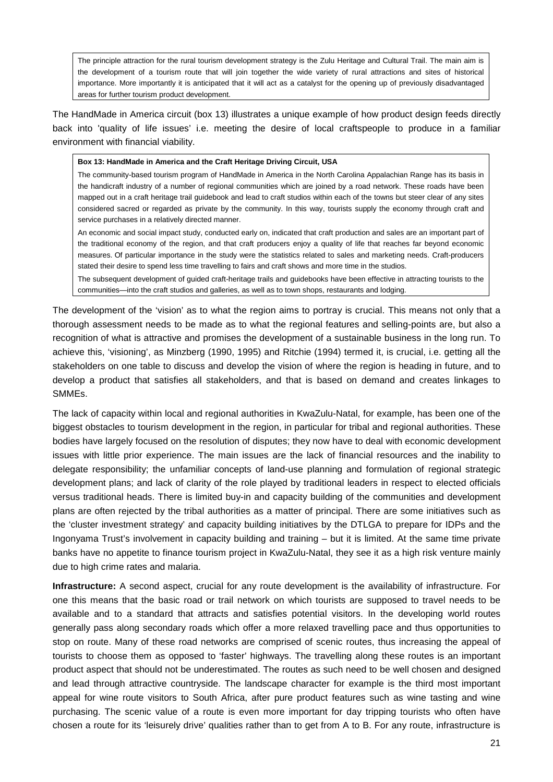The principle attraction for the rural tourism development strategy is the Zulu Heritage and Cultural Trail. The main aim is the development of a tourism route that will join together the wide variety of rural attractions and sites of historical importance. More importantly it is anticipated that it will act as a catalyst for the opening up of previously disadvantaged areas for further tourism product development.

The HandMade in America circuit (box 13) illustrates a unique example of how product design feeds directly back into 'quality of life issues' i.e. meeting the desire of local craftspeople to produce in a familiar environment with financial viability.

#### **Box 13: HandMade in America and the Craft Heritage Driving Circuit, USA**

The community-based tourism program of HandMade in America in the North Carolina Appalachian Range has its basis in the handicraft industry of a number of regional communities which are joined by a road network. These roads have been mapped out in a craft heritage trail guidebook and lead to craft studios within each of the towns but steer clear of any sites considered sacred or regarded as private by the community. In this way, tourists supply the economy through craft and service purchases in a relatively directed manner.

An economic and social impact study, conducted early on, indicated that craft production and sales are an important part of the traditional economy of the region, and that craft producers enjoy a quality of life that reaches far beyond economic measures. Of particular importance in the study were the statistics related to sales and marketing needs. Craft-producers stated their desire to spend less time travelling to fairs and craft shows and more time in the studios.

The subsequent development of guided craft-heritage trails and guidebooks have been effective in attracting tourists to the communities—into the craft studios and galleries, as well as to town shops, restaurants and lodging.

The development of the 'vision' as to what the region aims to portray is crucial. This means not only that a thorough assessment needs to be made as to what the regional features and selling-points are, but also a recognition of what is attractive and promises the development of a sustainable business in the long run. To achieve this, 'visioning', as Minzberg (1990, 1995) and Ritchie (1994) termed it, is crucial, i.e. getting all the stakeholders on one table to discuss and develop the vision of where the region is heading in future, and to develop a product that satisfies all stakeholders, and that is based on demand and creates linkages to SMMEs.

The lack of capacity within local and regional authorities in KwaZulu-Natal, for example, has been one of the biggest obstacles to tourism development in the region, in particular for tribal and regional authorities. These bodies have largely focused on the resolution of disputes; they now have to deal with economic development issues with little prior experience. The main issues are the lack of financial resources and the inability to delegate responsibility; the unfamiliar concepts of land-use planning and formulation of regional strategic development plans; and lack of clarity of the role played by traditional leaders in respect to elected officials versus traditional heads. There is limited buy-in and capacity building of the communities and development plans are often rejected by the tribal authorities as a matter of principal. There are some initiatives such as the 'cluster investment strategy' and capacity building initiatives by the DTLGA to prepare for IDPs and the Ingonyama Trust's involvement in capacity building and training – but it is limited. At the same time private banks have no appetite to finance tourism project in KwaZulu-Natal, they see it as a high risk venture mainly due to high crime rates and malaria.

**Infrastructure:** A second aspect, crucial for any route development is the availability of infrastructure. For one this means that the basic road or trail network on which tourists are supposed to travel needs to be available and to a standard that attracts and satisfies potential visitors. In the developing world routes generally pass along secondary roads which offer a more relaxed travelling pace and thus opportunities to stop on route. Many of these road networks are comprised of scenic routes, thus increasing the appeal of tourists to choose them as opposed to 'faster' highways. The travelling along these routes is an important product aspect that should not be underestimated. The routes as such need to be well chosen and designed and lead through attractive countryside. The landscape character for example is the third most important appeal for wine route visitors to South Africa, after pure product features such as wine tasting and wine purchasing. The scenic value of a route is even more important for day tripping tourists who often have chosen a route for its 'leisurely drive' qualities rather than to get from A to B. For any route, infrastructure is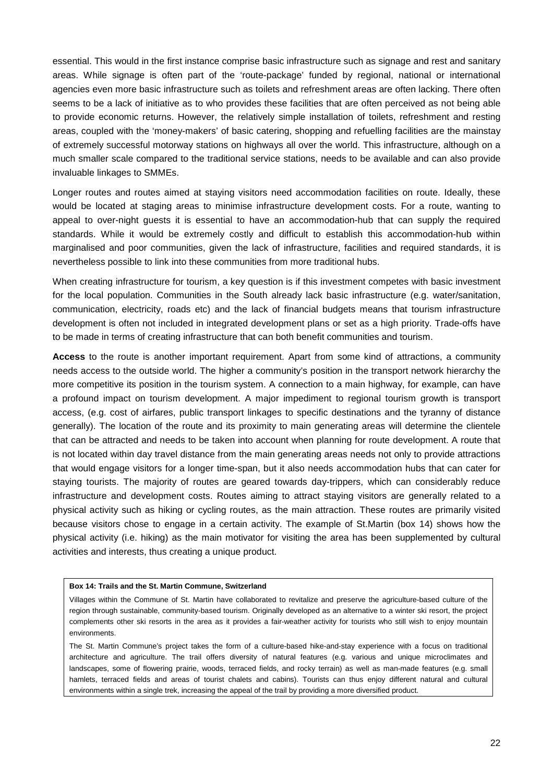essential. This would in the first instance comprise basic infrastructure such as signage and rest and sanitary areas. While signage is often part of the 'route-package' funded by regional, national or international agencies even more basic infrastructure such as toilets and refreshment areas are often lacking. There often seems to be a lack of initiative as to who provides these facilities that are often perceived as not being able to provide economic returns. However, the relatively simple installation of toilets, refreshment and resting areas, coupled with the 'money-makers' of basic catering, shopping and refuelling facilities are the mainstay of extremely successful motorway stations on highways all over the world. This infrastructure, although on a much smaller scale compared to the traditional service stations, needs to be available and can also provide invaluable linkages to SMMEs.

Longer routes and routes aimed at staying visitors need accommodation facilities on route. Ideally, these would be located at staging areas to minimise infrastructure development costs. For a route, wanting to appeal to over-night guests it is essential to have an accommodation-hub that can supply the required standards. While it would be extremely costly and difficult to establish this accommodation-hub within marginalised and poor communities, given the lack of infrastructure, facilities and required standards, it is nevertheless possible to link into these communities from more traditional hubs.

When creating infrastructure for tourism, a key question is if this investment competes with basic investment for the local population. Communities in the South already lack basic infrastructure (e.g. water/sanitation, communication, electricity, roads etc) and the lack of financial budgets means that tourism infrastructure development is often not included in integrated development plans or set as a high priority. Trade-offs have to be made in terms of creating infrastructure that can both benefit communities and tourism.

**Access** to the route is another important requirement. Apart from some kind of attractions, a community needs access to the outside world. The higher a community's position in the transport network hierarchy the more competitive its position in the tourism system. A connection to a main highway, for example, can have a profound impact on tourism development. A major impediment to regional tourism growth is transport access, (e.g. cost of airfares, public transport linkages to specific destinations and the tyranny of distance generally). The location of the route and its proximity to main generating areas will determine the clientele that can be attracted and needs to be taken into account when planning for route development. A route that is not located within day travel distance from the main generating areas needs not only to provide attractions that would engage visitors for a longer time-span, but it also needs accommodation hubs that can cater for staying tourists. The majority of routes are geared towards day-trippers, which can considerably reduce infrastructure and development costs. Routes aiming to attract staying visitors are generally related to a physical activity such as hiking or cycling routes, as the main attraction. These routes are primarily visited because visitors chose to engage in a certain activity. The example of St.Martin (box 14) shows how the physical activity (i.e. hiking) as the main motivator for visiting the area has been supplemented by cultural activities and interests, thus creating a unique product.

#### **Box 14: Trails and the St. Martin Commune, Switzerland**

Villages within the Commune of St. Martin have collaborated to revitalize and preserve the agriculture-based culture of the region through sustainable, community-based tourism. Originally developed as an alternative to a winter ski resort, the project complements other ski resorts in the area as it provides a fair-weather activity for tourists who still wish to enjoy mountain environments.

The St. Martin Commune's project takes the form of a culture-based hike-and-stay experience with a focus on traditional architecture and agriculture. The trail offers diversity of natural features (e.g. various and unique microclimates and landscapes, some of flowering prairie, woods, terraced fields, and rocky terrain) as well as man-made features (e.g. small hamlets, terraced fields and areas of tourist chalets and cabins). Tourists can thus enjoy different natural and cultural environments within a single trek, increasing the appeal of the trail by providing a more diversified product.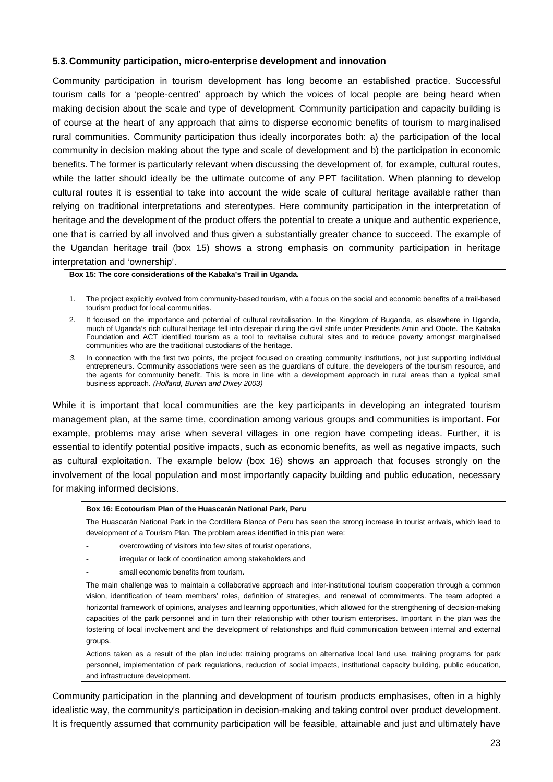## **5.3. Community participation, micro-enterprise development and innovation**

Community participation in tourism development has long become an established practice. Successful tourism calls for a 'people-centred' approach by which the voices of local people are being heard when making decision about the scale and type of development. Community participation and capacity building is of course at the heart of any approach that aims to disperse economic benefits of tourism to marginalised rural communities. Community participation thus ideally incorporates both: a) the participation of the local community in decision making about the type and scale of development and b) the participation in economic benefits. The former is particularly relevant when discussing the development of, for example, cultural routes, while the latter should ideally be the ultimate outcome of any PPT facilitation. When planning to develop cultural routes it is essential to take into account the wide scale of cultural heritage available rather than relying on traditional interpretations and stereotypes. Here community participation in the interpretation of heritage and the development of the product offers the potential to create a unique and authentic experience, one that is carried by all involved and thus given a substantially greater chance to succeed. The example of the Ugandan heritage trail (box 15) shows a strong emphasis on community participation in heritage interpretation and 'ownership'.

#### **Box 15: The core considerations of the Kabaka's Trail in Uganda.**

- 1. The project explicitly evolved from community-based tourism, with a focus on the social and economic benefits of a trail-based tourism product for local communities.
- 2. It focused on the importance and potential of cultural revitalisation. In the Kingdom of Buganda, as elsewhere in Uganda, much of Uganda's rich cultural heritage fell into disrepair during the civil strife under Presidents Amin and Obote. The Kabaka Foundation and ACT identified tourism as a tool to revitalise cultural sites and to reduce poverty amongst marginalised communities who are the traditional custodians of the heritage.
- 3. In connection with the first two points, the project focused on creating community institutions, not just supporting individual entrepreneurs. Community associations were seen as the guardians of culture, the developers of the tourism resource, and the agents for community benefit. This is more in line with a development approach in rural areas than a typical small business approach. (Holland, Burian and Dixey 2003)

While it is important that local communities are the key participants in developing an integrated tourism management plan, at the same time, coordination among various groups and communities is important. For example, problems may arise when several villages in one region have competing ideas. Further, it is essential to identify potential positive impacts, such as economic benefits, as well as negative impacts, such as cultural exploitation. The example below (box 16) shows an approach that focuses strongly on the involvement of the local population and most importantly capacity building and public education, necessary for making informed decisions.

## **Box 16: Ecotourism Plan of the Huascarán National Park, Peru**

The Huascarán National Park in the Cordillera Blanca of Peru has seen the strong increase in tourist arrivals, which lead to development of a Tourism Plan. The problem areas identified in this plan were:

- overcrowding of visitors into few sites of tourist operations,
- irregular or lack of coordination among stakeholders and
- small economic benefits from tourism.

The main challenge was to maintain a collaborative approach and inter-institutional tourism cooperation through a common vision, identification of team members' roles, definition of strategies, and renewal of commitments. The team adopted a horizontal framework of opinions, analyses and learning opportunities, which allowed for the strengthening of decision-making capacities of the park personnel and in turn their relationship with other tourism enterprises. Important in the plan was the fostering of local involvement and the development of relationships and fluid communication between internal and external groups.

Actions taken as a result of the plan include: training programs on alternative local land use, training programs for park personnel, implementation of park regulations, reduction of social impacts, institutional capacity building, public education, and infrastructure development.

Community participation in the planning and development of tourism products emphasises, often in a highly idealistic way, the community's participation in decision-making and taking control over product development. It is frequently assumed that community participation will be feasible, attainable and just and ultimately have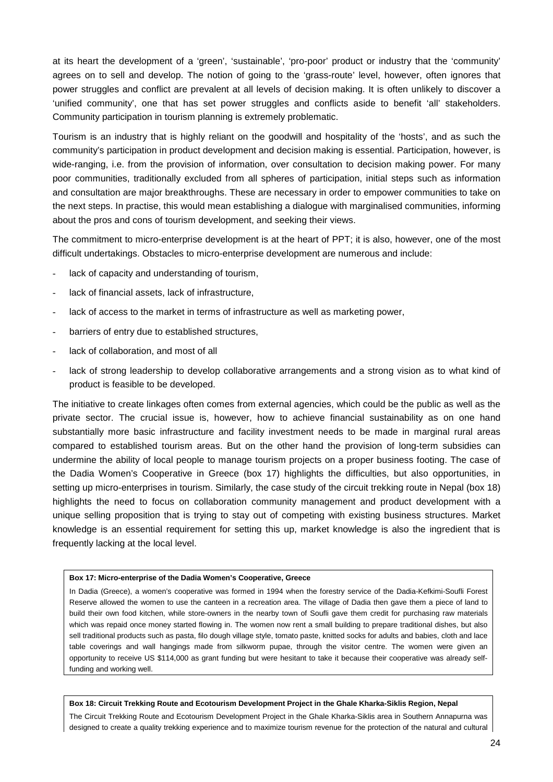at its heart the development of a 'green', 'sustainable', 'pro-poor' product or industry that the 'community' agrees on to sell and develop. The notion of going to the 'grass-route' level, however, often ignores that power struggles and conflict are prevalent at all levels of decision making. It is often unlikely to discover a 'unified community', one that has set power struggles and conflicts aside to benefit 'all' stakeholders. Community participation in tourism planning is extremely problematic.

Tourism is an industry that is highly reliant on the goodwill and hospitality of the 'hosts', and as such the community's participation in product development and decision making is essential. Participation, however, is wide-ranging, i.e. from the provision of information, over consultation to decision making power. For many poor communities, traditionally excluded from all spheres of participation, initial steps such as information and consultation are major breakthroughs. These are necessary in order to empower communities to take on the next steps. In practise, this would mean establishing a dialogue with marginalised communities, informing about the pros and cons of tourism development, and seeking their views.

The commitment to micro-enterprise development is at the heart of PPT; it is also, however, one of the most difficult undertakings. Obstacles to micro-enterprise development are numerous and include:

- lack of capacity and understanding of tourism,
- lack of financial assets, lack of infrastructure,
- lack of access to the market in terms of infrastructure as well as marketing power,
- barriers of entry due to established structures,
- lack of collaboration, and most of all
- lack of strong leadership to develop collaborative arrangements and a strong vision as to what kind of product is feasible to be developed.

The initiative to create linkages often comes from external agencies, which could be the public as well as the private sector. The crucial issue is, however, how to achieve financial sustainability as on one hand substantially more basic infrastructure and facility investment needs to be made in marginal rural areas compared to established tourism areas. But on the other hand the provision of long-term subsidies can undermine the ability of local people to manage tourism projects on a proper business footing. The case of the Dadia Women's Cooperative in Greece (box 17) highlights the difficulties, but also opportunities, in setting up micro-enterprises in tourism. Similarly, the case study of the circuit trekking route in Nepal (box 18) highlights the need to focus on collaboration community management and product development with a unique selling proposition that is trying to stay out of competing with existing business structures. Market knowledge is an essential requirement for setting this up, market knowledge is also the ingredient that is frequently lacking at the local level.

#### **Box 17: Micro-enterprise of the Dadia Women's Cooperative, Greece**

In Dadia (Greece), a women's cooperative was formed in 1994 when the forestry service of the Dadia-Kefkimi-Soufli Forest Reserve allowed the women to use the canteen in a recreation area. The village of Dadia then gave them a piece of land to build their own food kitchen, while store-owners in the nearby town of Soufli gave them credit for purchasing raw materials which was repaid once money started flowing in. The women now rent a small building to prepare traditional dishes, but also sell traditional products such as pasta, filo dough village style, tomato paste, knitted socks for adults and babies, cloth and lace table coverings and wall hangings made from silkworm pupae, through the visitor centre. The women were given an opportunity to receive US \$114,000 as grant funding but were hesitant to take it because their cooperative was already selffunding and working well.

#### **Box 18: Circuit Trekking Route and Ecotourism Development Project in the Ghale Kharka-Siklis Region, Nepal**

The Circuit Trekking Route and Ecotourism Development Project in the Ghale Kharka-Siklis area in Southern Annapurna was designed to create a quality trekking experience and to maximize tourism revenue for the protection of the natural and cultural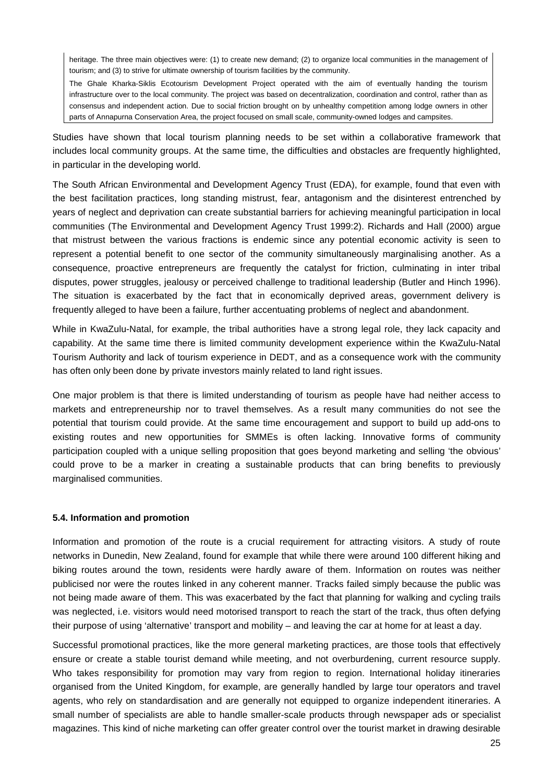heritage. The three main objectives were: (1) to create new demand; (2) to organize local communities in the management of tourism; and (3) to strive for ultimate ownership of tourism facilities by the community.

The Ghale Kharka-Siklis Ecotourism Development Project operated with the aim of eventually handing the tourism infrastructure over to the local community. The project was based on decentralization, coordination and control, rather than as consensus and independent action. Due to social friction brought on by unhealthy competition among lodge owners in other parts of Annapurna Conservation Area, the project focused on small scale, community-owned lodges and campsites.

Studies have shown that local tourism planning needs to be set within a collaborative framework that includes local community groups. At the same time, the difficulties and obstacles are frequently highlighted, in particular in the developing world.

The South African Environmental and Development Agency Trust (EDA), for example, found that even with the best facilitation practices, long standing mistrust, fear, antagonism and the disinterest entrenched by years of neglect and deprivation can create substantial barriers for achieving meaningful participation in local communities (The Environmental and Development Agency Trust 1999:2). Richards and Hall (2000) argue that mistrust between the various fractions is endemic since any potential economic activity is seen to represent a potential benefit to one sector of the community simultaneously marginalising another. As a consequence, proactive entrepreneurs are frequently the catalyst for friction, culminating in inter tribal disputes, power struggles, jealousy or perceived challenge to traditional leadership (Butler and Hinch 1996). The situation is exacerbated by the fact that in economically deprived areas, government delivery is frequently alleged to have been a failure, further accentuating problems of neglect and abandonment.

While in KwaZulu-Natal, for example, the tribal authorities have a strong legal role, they lack capacity and capability. At the same time there is limited community development experience within the KwaZulu-Natal Tourism Authority and lack of tourism experience in DEDT, and as a consequence work with the community has often only been done by private investors mainly related to land right issues.

One major problem is that there is limited understanding of tourism as people have had neither access to markets and entrepreneurship nor to travel themselves. As a result many communities do not see the potential that tourism could provide. At the same time encouragement and support to build up add-ons to existing routes and new opportunities for SMMEs is often lacking. Innovative forms of community participation coupled with a unique selling proposition that goes beyond marketing and selling 'the obvious' could prove to be a marker in creating a sustainable products that can bring benefits to previously marginalised communities.

## **5.4. Information and promotion**

Information and promotion of the route is a crucial requirement for attracting visitors. A study of route networks in Dunedin, New Zealand, found for example that while there were around 100 different hiking and biking routes around the town, residents were hardly aware of them. Information on routes was neither publicised nor were the routes linked in any coherent manner. Tracks failed simply because the public was not being made aware of them. This was exacerbated by the fact that planning for walking and cycling trails was neglected, i.e. visitors would need motorised transport to reach the start of the track, thus often defying their purpose of using 'alternative' transport and mobility – and leaving the car at home for at least a day.

Successful promotional practices, like the more general marketing practices, are those tools that effectively ensure or create a stable tourist demand while meeting, and not overburdening, current resource supply. Who takes responsibility for promotion may vary from region to region. International holiday itineraries organised from the United Kingdom, for example, are generally handled by large tour operators and travel agents, who rely on standardisation and are generally not equipped to organize independent itineraries. A small number of specialists are able to handle smaller-scale products through newspaper ads or specialist magazines. This kind of niche marketing can offer greater control over the tourist market in drawing desirable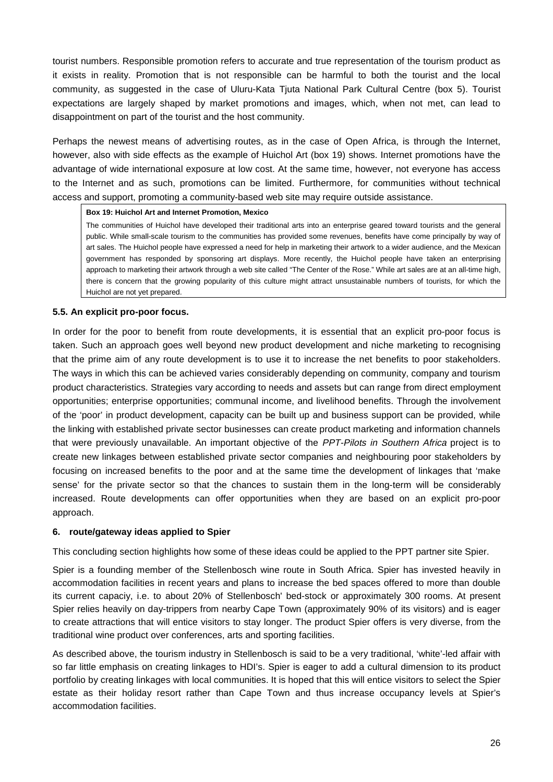tourist numbers. Responsible promotion refers to accurate and true representation of the tourism product as it exists in reality. Promotion that is not responsible can be harmful to both the tourist and the local community, as suggested in the case of Uluru-Kata Tjuta National Park Cultural Centre (box 5). Tourist expectations are largely shaped by market promotions and images, which, when not met, can lead to disappointment on part of the tourist and the host community.

Perhaps the newest means of advertising routes, as in the case of Open Africa, is through the Internet, however, also with side effects as the example of Huichol Art (box 19) shows. Internet promotions have the advantage of wide international exposure at low cost. At the same time, however, not everyone has access to the Internet and as such, promotions can be limited. Furthermore, for communities without technical access and support, promoting a community-based web site may require outside assistance.

## **Box 19: Huichol Art and Internet Promotion, Mexico**

The communities of Huichol have developed their traditional arts into an enterprise geared toward tourists and the general public. While small-scale tourism to the communities has provided some revenues, benefits have come principally by way of art sales. The Huichol people have expressed a need for help in marketing their artwork to a wider audience, and the Mexican government has responded by sponsoring art displays. More recently, the Huichol people have taken an enterprising approach to marketing their artwork through a web site called "The Center of the Rose." While art sales are at an all-time high, there is concern that the growing popularity of this culture might attract unsustainable numbers of tourists, for which the Huichol are not yet prepared.

## **5.5. An explicit pro-poor focus.**

In order for the poor to benefit from route developments, it is essential that an explicit pro-poor focus is taken. Such an approach goes well beyond new product development and niche marketing to recognising that the prime aim of any route development is to use it to increase the net benefits to poor stakeholders. The ways in which this can be achieved varies considerably depending on community, company and tourism product characteristics. Strategies vary according to needs and assets but can range from direct employment opportunities; enterprise opportunities; communal income, and livelihood benefits. Through the involvement of the 'poor' in product development, capacity can be built up and business support can be provided, while the linking with established private sector businesses can create product marketing and information channels that were previously unavailable. An important objective of the PPT-Pilots in Southern Africa project is to create new linkages between established private sector companies and neighbouring poor stakeholders by focusing on increased benefits to the poor and at the same time the development of linkages that 'make sense' for the private sector so that the chances to sustain them in the long-term will be considerably increased. Route developments can offer opportunities when they are based on an explicit pro-poor approach.

## **6. route/gateway ideas applied to Spier**

This concluding section highlights how some of these ideas could be applied to the PPT partner site Spier.

Spier is a founding member of the Stellenbosch wine route in South Africa. Spier has invested heavily in accommodation facilities in recent years and plans to increase the bed spaces offered to more than double its current capaciy, i.e. to about 20% of Stellenbosch' bed-stock or approximately 300 rooms. At present Spier relies heavily on day-trippers from nearby Cape Town (approximately 90% of its visitors) and is eager to create attractions that will entice visitors to stay longer. The product Spier offers is very diverse, from the traditional wine product over conferences, arts and sporting facilities.

As described above, the tourism industry in Stellenbosch is said to be a very traditional, 'white'-led affair with so far little emphasis on creating linkages to HDI's. Spier is eager to add a cultural dimension to its product portfolio by creating linkages with local communities. It is hoped that this will entice visitors to select the Spier estate as their holiday resort rather than Cape Town and thus increase occupancy levels at Spier's accommodation facilities.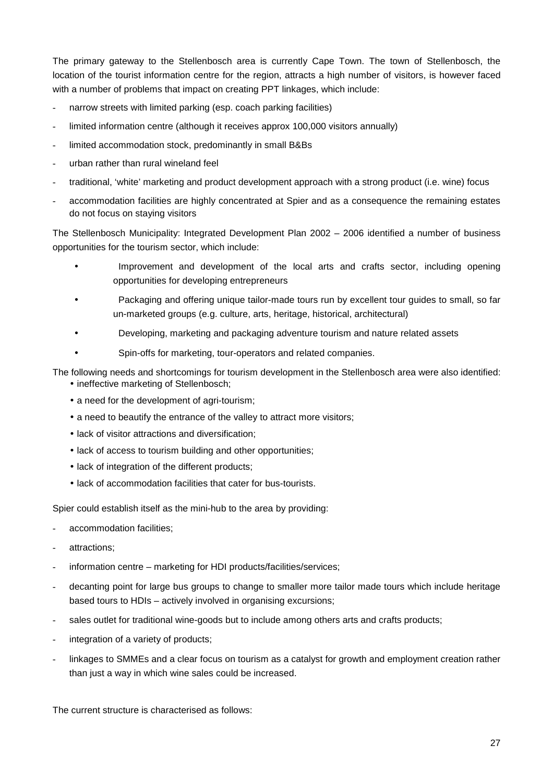The primary gateway to the Stellenbosch area is currently Cape Town. The town of Stellenbosch, the location of the tourist information centre for the region, attracts a high number of visitors, is however faced with a number of problems that impact on creating PPT linkages, which include:

- narrow streets with limited parking (esp. coach parking facilities)
- limited information centre (although it receives approx 100,000 visitors annually)
- limited accommodation stock, predominantly in small B&Bs
- urban rather than rural wineland feel
- traditional, 'white' marketing and product development approach with a strong product (i.e. wine) focus
- accommodation facilities are highly concentrated at Spier and as a consequence the remaining estates do not focus on staying visitors

The Stellenbosch Municipality: Integrated Development Plan 2002 – 2006 identified a number of business opportunities for the tourism sector, which include:

- Improvement and development of the local arts and crafts sector, including opening opportunities for developing entrepreneurs
- Packaging and offering unique tailor-made tours run by excellent tour guides to small, so far un-marketed groups (e.g. culture, arts, heritage, historical, architectural)
- Developing, marketing and packaging adventure tourism and nature related assets
- Spin-offs for marketing, tour-operators and related companies.

The following needs and shortcomings for tourism development in the Stellenbosch area were also identified:

- ineffective marketing of Stellenbosch;
- a need for the development of agri-tourism;
- a need to beautify the entrance of the valley to attract more visitors;
- lack of visitor attractions and diversification;
- lack of access to tourism building and other opportunities;
- lack of integration of the different products:
- lack of accommodation facilities that cater for bus-tourists.

Spier could establish itself as the mini-hub to the area by providing:

- accommodation facilities;
- attractions:
- information centre marketing for HDI products/facilities/services;
- decanting point for large bus groups to change to smaller more tailor made tours which include heritage based tours to HDIs – actively involved in organising excursions;
- sales outlet for traditional wine-goods but to include among others arts and crafts products;
- integration of a variety of products;
- linkages to SMMEs and a clear focus on tourism as a catalyst for growth and employment creation rather than just a way in which wine sales could be increased.

The current structure is characterised as follows: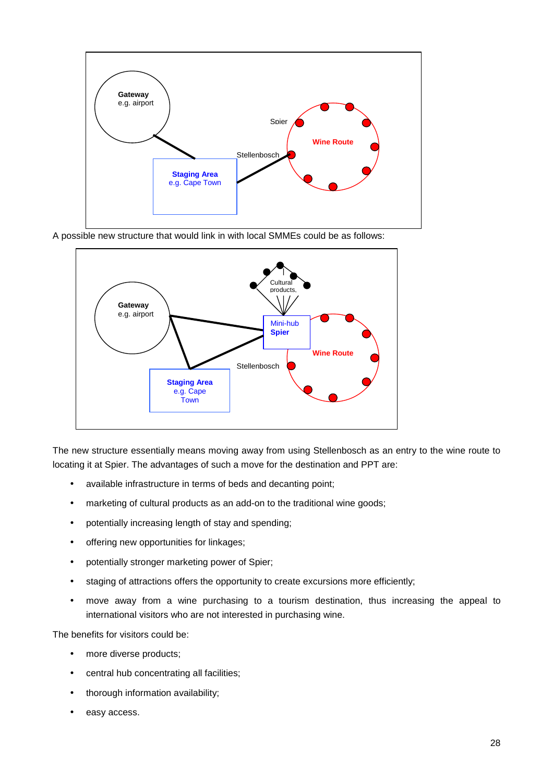

A possible new structure that would link in with local SMMEs could be as follows:



The new structure essentially means moving away from using Stellenbosch as an entry to the wine route to locating it at Spier. The advantages of such a move for the destination and PPT are:

- available infrastructure in terms of beds and decanting point;
- marketing of cultural products as an add-on to the traditional wine goods;
- potentially increasing length of stay and spending;
- offering new opportunities for linkages;
- potentially stronger marketing power of Spier;
- staging of attractions offers the opportunity to create excursions more efficiently;
- move away from a wine purchasing to a tourism destination, thus increasing the appeal to international visitors who are not interested in purchasing wine.

The benefits for visitors could be:

- more diverse products;
- central hub concentrating all facilities;
- thorough information availability;
- easy access.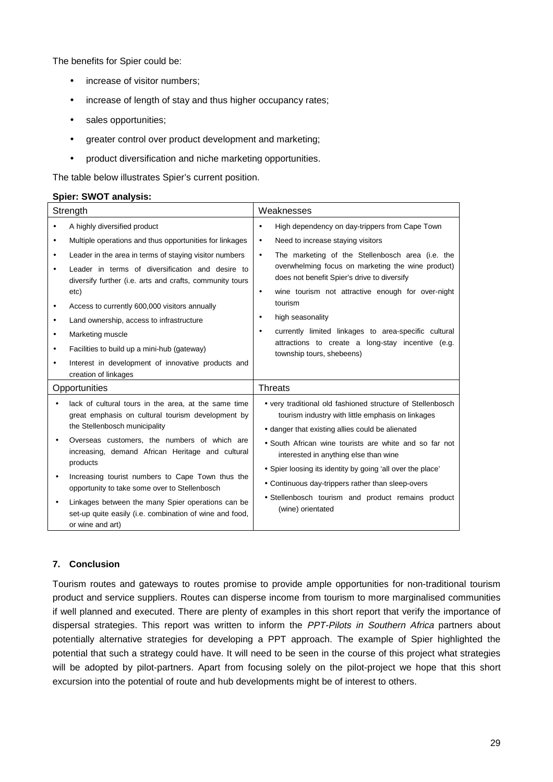The benefits for Spier could be:

- increase of visitor numbers;
- increase of length of stay and thus higher occupancy rates;
- sales opportunities;
- greater control over product development and marketing;
- product diversification and niche marketing opportunities.

The table below illustrates Spier's current position.

## **Spier: SWOT analysis:**

| Strength                                           |                                                                                                                                                                                                                                                                                                                                                                                                                                           | Weaknesses                                                                                                                                                                                                                                                                                                                                                                                                                                                                                                                              |
|----------------------------------------------------|-------------------------------------------------------------------------------------------------------------------------------------------------------------------------------------------------------------------------------------------------------------------------------------------------------------------------------------------------------------------------------------------------------------------------------------------|-----------------------------------------------------------------------------------------------------------------------------------------------------------------------------------------------------------------------------------------------------------------------------------------------------------------------------------------------------------------------------------------------------------------------------------------------------------------------------------------------------------------------------------------|
| ٠<br>٠<br>$\bullet$<br>$\bullet$<br>$\bullet$<br>٠ | A highly diversified product<br>Multiple operations and thus opportunities for linkages<br>Leader in the area in terms of staying visitor numbers<br>Leader in terms of diversification and desire to<br>diversify further (i.e. arts and crafts, community tours<br>etc)<br>Access to currently 600,000 visitors annually<br>Land ownership, access to infrastructure<br>Marketing muscle<br>Facilities to build up a mini-hub (gateway) | High dependency on day-trippers from Cape Town<br>$\bullet$<br>Need to increase staying visitors<br>$\bullet$<br>The marketing of the Stellenbosch area (i.e. the<br>$\bullet$<br>overwhelming focus on marketing the wine product)<br>does not benefit Spier's drive to diversify<br>wine tourism not attractive enough for over-night<br>٠<br>tourism<br>high seasonality<br>٠<br>currently limited linkages to area-specific cultural<br>$\bullet$<br>attractions to create a long-stay incentive (e.g.<br>township tours, shebeens) |
| $\bullet$                                          | Interest in development of innovative products and<br>creation of linkages                                                                                                                                                                                                                                                                                                                                                                |                                                                                                                                                                                                                                                                                                                                                                                                                                                                                                                                         |
|                                                    | Opportunities                                                                                                                                                                                                                                                                                                                                                                                                                             | <b>Threats</b>                                                                                                                                                                                                                                                                                                                                                                                                                                                                                                                          |
|                                                    |                                                                                                                                                                                                                                                                                                                                                                                                                                           |                                                                                                                                                                                                                                                                                                                                                                                                                                                                                                                                         |
| $\bullet$                                          | lack of cultural tours in the area, at the same time<br>great emphasis on cultural tourism development by<br>the Stellenbosch municipality<br>Overseas customers, the numbers of which are                                                                                                                                                                                                                                                | • very traditional old fashioned structure of Stellenbosch<br>tourism industry with little emphasis on linkages<br>• danger that existing allies could be alienated                                                                                                                                                                                                                                                                                                                                                                     |
| $\bullet$                                          | increasing, demand African Heritage and cultural<br>products<br>Increasing tourist numbers to Cape Town thus the<br>opportunity to take some over to Stellenbosch                                                                                                                                                                                                                                                                         | • South African wine tourists are white and so far not<br>interested in anything else than wine<br>• Spier loosing its identity by going 'all over the place'<br>• Continuous day-trippers rather than sleep-overs                                                                                                                                                                                                                                                                                                                      |

## **7. Conclusion**

Tourism routes and gateways to routes promise to provide ample opportunities for non-traditional tourism product and service suppliers. Routes can disperse income from tourism to more marginalised communities if well planned and executed. There are plenty of examples in this short report that verify the importance of dispersal strategies. This report was written to inform the PPT-Pilots in Southern Africa partners about potentially alternative strategies for developing a PPT approach. The example of Spier highlighted the potential that such a strategy could have. It will need to be seen in the course of this project what strategies will be adopted by pilot-partners. Apart from focusing solely on the pilot-project we hope that this short excursion into the potential of route and hub developments might be of interest to others.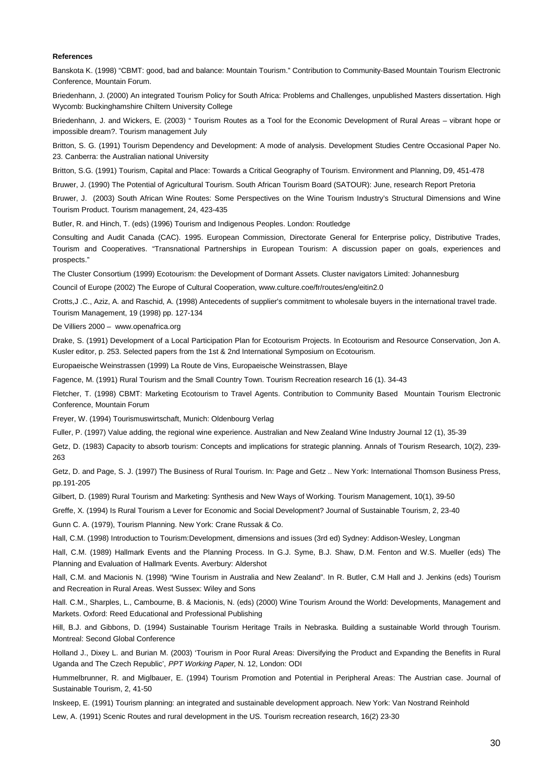#### **References**

Banskota K. (1998) "CBMT: good, bad and balance: Mountain Tourism." Contribution to Community-Based Mountain Tourism Electronic Conference, Mountain Forum.

Briedenhann, J. (2000) An integrated Tourism Policy for South Africa: Problems and Challenges, unpublished Masters dissertation. High Wycomb: Buckinghamshire Chiltern University College

Briedenhann, J. and Wickers, E. (2003) " Tourism Routes as a Tool for the Economic Development of Rural Areas – vibrant hope or impossible dream?. Tourism management July

Britton, S. G. (1991) Tourism Dependency and Development: A mode of analysis. Development Studies Centre Occasional Paper No. 23. Canberra: the Australian national University

Britton, S.G. (1991) Tourism, Capital and Place: Towards a Critical Geography of Tourism. Environment and Planning, D9, 451-478

Bruwer, J. (1990) The Potential of Agricultural Tourism. South African Tourism Board (SATOUR): June, research Report Pretoria

Bruwer, J. (2003) South African Wine Routes: Some Perspectives on the Wine Tourism Industry's Structural Dimensions and Wine Tourism Product. Tourism management, 24, 423-435

Butler, R. and Hinch, T. (eds) (1996) Tourism and Indigenous Peoples. London: Routledge

Consulting and Audit Canada (CAC). 1995. European Commission, Directorate General for Enterprise policy, Distributive Trades, Tourism and Cooperatives. "Transnational Partnerships in European Tourism: A discussion paper on goals, experiences and prospects."

The Cluster Consortium (1999) Ecotourism: the Development of Dormant Assets. Cluster navigators Limited: Johannesburg

Council of Europe (2002) The Europe of Cultural Cooperation, www.culture.coe/fr/routes/eng/eitin2.0

Crotts,J .C., Aziz, A. and Raschid, A. (1998) Antecedents of supplier's commitment to wholesale buyers in the international travel trade. Tourism Management, 19 (1998) pp. 127-134

De Villiers 2000 – www.openafrica.org

Drake, S. (1991) Development of a Local Participation Plan for Ecotourism Projects. In Ecotourism and Resource Conservation, Jon A. Kusler editor, p. 253. Selected papers from the 1st & 2nd International Symposium on Ecotourism.

Europaeische Weinstrassen (1999) La Route de Vins, Europaeische Weinstrassen, Blaye

Fagence, M. (1991) Rural Tourism and the Small Country Town. Tourism Recreation research 16 (1). 34-43

Fletcher, T. (1998) CBMT: Marketing Ecotourism to Travel Agents. Contribution to Community Based Mountain Tourism Electronic Conference, Mountain Forum

Freyer, W. (1994) Tourismuswirtschaft, Munich: Oldenbourg Verlag

Fuller, P. (1997) Value adding, the regional wine experience. Australian and New Zealand Wine Industry Journal 12 (1), 35-39

Getz, D. (1983) Capacity to absorb tourism: Concepts and implications for strategic planning. Annals of Tourism Research, 10(2), 239- 263

Getz, D. and Page, S. J. (1997) The Business of Rural Tourism. In: Page and Getz .. New York: International Thomson Business Press, pp.191-205

Gilbert, D. (1989) Rural Tourism and Marketing: Synthesis and New Ways of Working. Tourism Management, 10(1), 39-50

Greffe, X. (1994) Is Rural Tourism a Lever for Economic and Social Development? Journal of Sustainable Tourism, 2, 23-40

Gunn C. A. (1979), Tourism Planning. New York: Crane Russak & Co.

Hall, C.M. (1998) Introduction to Tourism:Development, dimensions and issues (3rd ed) Sydney: Addison-Wesley, Longman

Hall, C.M. (1989) Hallmark Events and the Planning Process. In G.J. Syme, B.J. Shaw, D.M. Fenton and W.S. Mueller (eds) The Planning and Evaluation of Hallmark Events. Averbury: Aldershot

Hall, C.M. and Macionis N. (1998) "Wine Tourism in Australia and New Zealand". In R. Butler, C.M Hall and J. Jenkins (eds) Tourism and Recreation in Rural Areas. West Sussex: Wiley and Sons

Hall. C.M., Sharples, L., Cambourne, B. & Macionis, N. (eds) (2000) Wine Tourism Around the World: Developments, Management and Markets. Oxford: Reed Educational and Professional Publishing

Hill, B.J. and Gibbons, D. (1994) Sustainable Tourism Heritage Trails in Nebraska. Building a sustainable World through Tourism. Montreal: Second Global Conference

Holland J., Dixey L. and Burian M. (2003) 'Tourism in Poor Rural Areas: Diversifying the Product and Expanding the Benefits in Rural Uganda and The Czech Republic', PPT Working Paper, N. 12, London: ODI

Hummelbrunner, R. and Miglbauer, E. (1994) Tourism Promotion and Potential in Peripheral Areas: The Austrian case. Journal of Sustainable Tourism, 2, 41-50

Inskeep, E. (1991) Tourism planning: an integrated and sustainable development approach. New York: Van Nostrand Reinhold

Lew, A. (1991) Scenic Routes and rural development in the US. Tourism recreation research, 16(2) 23-30